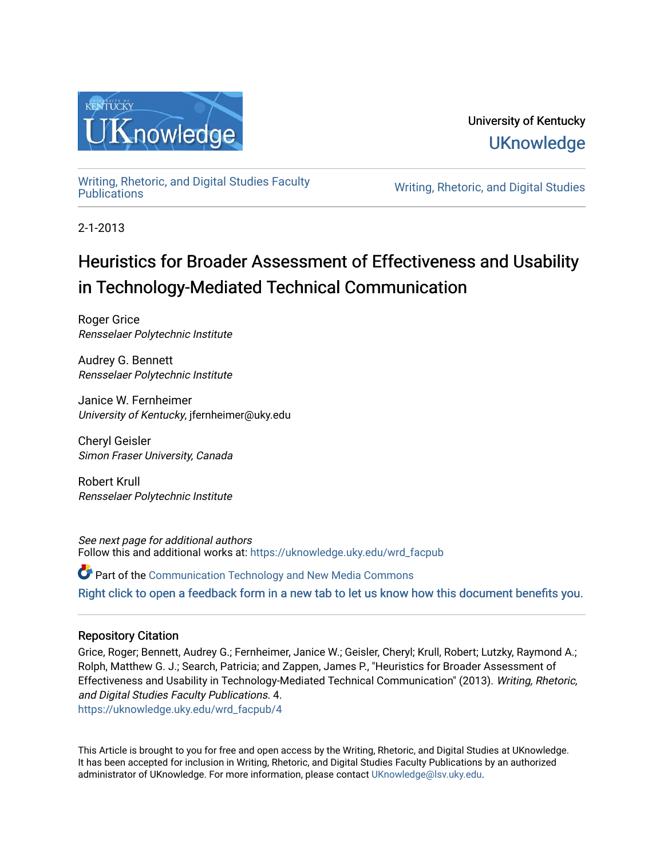

# University of Kentucky **UKnowledge**

[Writing, Rhetoric, and Digital Studies Faculty](https://uknowledge.uky.edu/wrd_facpub) 

Writing, Rhetoric, and Digital Studies

2-1-2013

# Heuristics for Broader Assessment of Effectiveness and Usability in Technology-Mediated Technical Communication

Roger Grice Rensselaer Polytechnic Institute

Audrey G. Bennett Rensselaer Polytechnic Institute

Janice W. Fernheimer University of Kentucky, jfernheimer@uky.edu

Cheryl Geisler Simon Fraser University, Canada

Robert Krull Rensselaer Polytechnic Institute

See next page for additional authors Follow this and additional works at: [https://uknowledge.uky.edu/wrd\\_facpub](https://uknowledge.uky.edu/wrd_facpub?utm_source=uknowledge.uky.edu%2Fwrd_facpub%2F4&utm_medium=PDF&utm_campaign=PDFCoverPages)

**C** Part of the Communication Technology and New Media Commons

[Right click to open a feedback form in a new tab to let us know how this document benefits you.](https://uky.az1.qualtrics.com/jfe/form/SV_9mq8fx2GnONRfz7)

### Repository Citation

Grice, Roger; Bennett, Audrey G.; Fernheimer, Janice W.; Geisler, Cheryl; Krull, Robert; Lutzky, Raymond A.; Rolph, Matthew G. J.; Search, Patricia; and Zappen, James P., "Heuristics for Broader Assessment of Effectiveness and Usability in Technology-Mediated Technical Communication" (2013). Writing, Rhetoric, and Digital Studies Faculty Publications. 4.

[https://uknowledge.uky.edu/wrd\\_facpub/4](https://uknowledge.uky.edu/wrd_facpub/4?utm_source=uknowledge.uky.edu%2Fwrd_facpub%2F4&utm_medium=PDF&utm_campaign=PDFCoverPages)

This Article is brought to you for free and open access by the Writing, Rhetoric, and Digital Studies at UKnowledge. It has been accepted for inclusion in Writing, Rhetoric, and Digital Studies Faculty Publications by an authorized administrator of UKnowledge. For more information, please contact [UKnowledge@lsv.uky.edu](mailto:UKnowledge@lsv.uky.edu).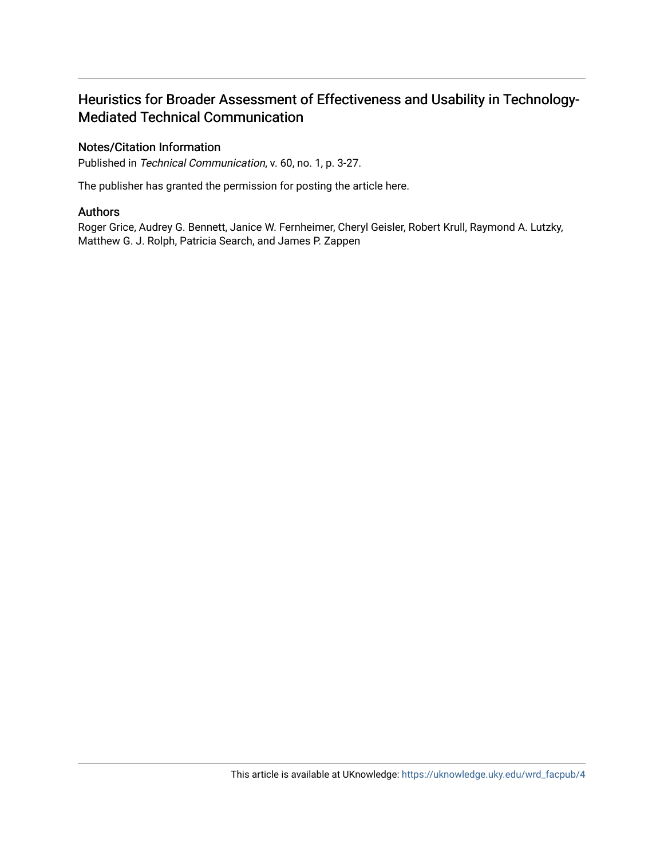### Heuristics for Broader Assessment of Effectiveness and Usability in Technology-Mediated Technical Communication

### Notes/Citation Information

Published in Technical Communication, v. 60, no. 1, p. 3-27.

The publisher has granted the permission for posting the article here.

### Authors

Roger Grice, Audrey G. Bennett, Janice W. Fernheimer, Cheryl Geisler, Robert Krull, Raymond A. Lutzky, Matthew G. J. Rolph, Patricia Search, and James P. Zappen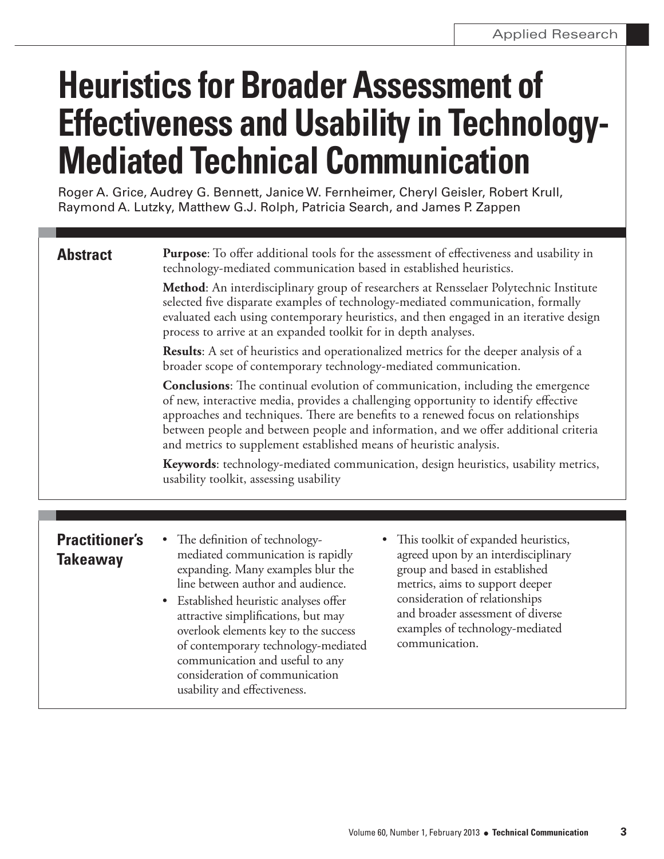# **Heuristics for Broader Assessment of Effectiveness and Usability in Technology-Mediated Technical Communication**

Roger A. Grice, Audrey G. Bennett, Janice W. Fernheimer, Cheryl Geisler, Robert Krull, Raymond A. Lutzky, Matthew G.J. Rolph, Patricia Search, and James P. Zappen

# **Abstract**

**Purpose:** To offer additional tools for the assessment of effectiveness and usability in technology-mediated communication based in established heuristics.

**Method:** An interdisciplinary group of researchers at Rensselaer Polytechnic Institute selected five disparate examples of technology-mediated communication, formally evaluated each using contemporary heuristics, and then engaged in an iterative design process to arrive at an expanded toolkit for in depth analyses.

**Results:** A set of heuristics and operationalized metrics for the deeper analysis of a broader scope of contemporary technology-mediated communication.

**Conclusions:** The continual evolution of communication, including the emergence of new, interactive media, provides a challenging opportunity to identify effective approaches and techniques. There are benefits to a renewed focus on relationships between people and between people and information, and we offer additional criteria and metrics to supplement established means of heuristic analysis.

Keywords: technology-mediated communication, design heuristics, usability metrics, usability toolkit, assessing usability

## **Practitioner's Takeaway**

- The definition of technologymediated communication is rapidly expanding. Many examples blur the line between author and audience.
- Established heuristic analyses offer attractive simplifications, but may overlook elements key to the success of contemporary technology-mediated communication and useful to any consideration of communication usability and effectiveness.
- This toolkit of expanded heuristics, agreed upon by an interdisciplinary group and based in established metrics, aims to support deeper consideration of relationships and broader assessment of diverse examples of technology-mediated communication.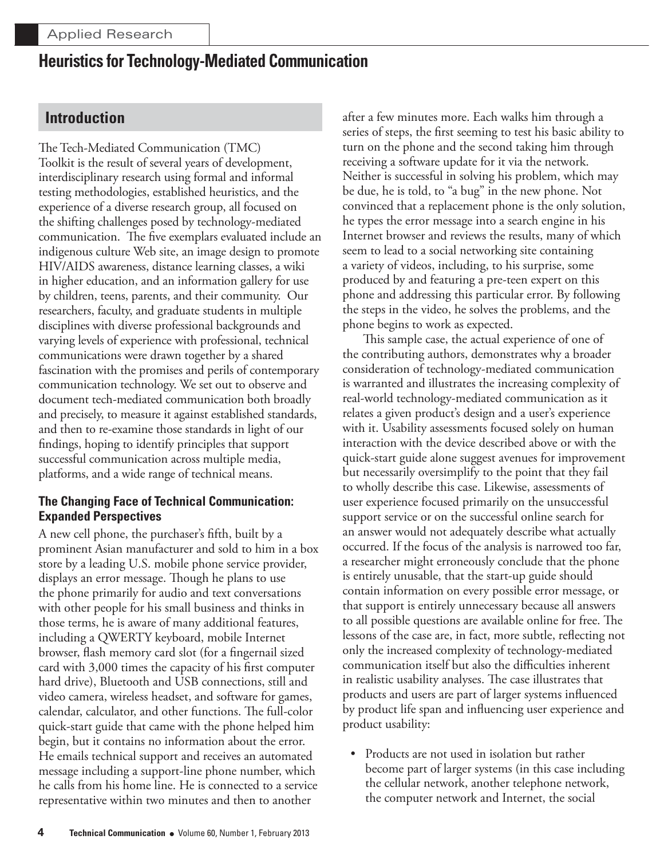### **Introduction**

The Tech-Mediated Communication (TMC) Toolkit is the result of several years of development, interdisciplinary research using formal and informal testing methodologies, established heuristics, and the experience of a diverse research group, all focused on the shifting challenges posed by technology-mediated communication. The five exemplars evaluated include an indigenous culture Web site, an image design to promote HIV/AIDS awareness, distance learning classes, a wiki in higher education, and an information gallery for use by children, teens, parents, and their community. Our researchers, faculty, and graduate students in multiple disciplines with diverse professional backgrounds and varying levels of experience with professional, technical communications were drawn together by a shared fascination with the promises and perils of contemporary communication technology. We set out to observe and document tech-mediated communication both broadly and precisely, to measure it against established standards, and then to re-examine those standards in light of our findings, hoping to identify principles that support successful communication across multiple media, platforms, and a wide range of technical means.

### **The Changing Face of Technical Communication: Expanded Perspectives**

A new cell phone, the purchaser's fifth, built by a prominent Asian manufacturer and sold to him in a box store by a leading U.S. mobile phone service provider, displays an error message. Though he plans to use the phone primarily for audio and text conversations with other people for his small business and thinks in those terms, he is aware of many additional features, including a QWERTY keyboard, mobile Internet browser, flash memory card slot (for a fingernail sized card with 3,000 times the capacity of his first computer hard drive), Bluetooth and USB connections, still and video camera, wireless headset, and software for games, calendar, calculator, and other functions. The full-color quick-start guide that came with the phone helped him begin, but it contains no information about the error. He emails technical support and receives an automated message including a support-line phone number, which he calls from his home line. He is connected to a service representative within two minutes and then to another

after a few minutes more. Each walks him through a series of steps, the first seeming to test his basic ability to turn on the phone and the second taking him through receiving a software update for it via the network. Neither is successful in solving his problem, which may be due, he is told, to "a bug" in the new phone. Not convinced that a replacement phone is the only solution, he types the error message into a search engine in his Internet browser and reviews the results, many of which seem to lead to a social networking site containing a variety of videos, including, to his surprise, some produced by and featuring a pre-teen expert on this phone and addressing this particular error. By following the steps in the video, he solves the problems, and the phone begins to work as expected.

This sample case, the actual experience of one of the contributing authors, demonstrates why a broader consideration of technology-mediated communication is warranted and illustrates the increasing complexity of real-world technology-mediated communication as it relates a given product's design and a user's experience with it. Usability assessments focused solely on human interaction with the device described above or with the quick-start guide alone suggest avenues for improvement but necessarily oversimplify to the point that they fail to wholly describe this case. Likewise, assessments of user experience focused primarily on the unsuccessful support service or on the successful online search for an answer would not adequately describe what actually occurred. If the focus of the analysis is narrowed too far, a researcher might erroneously conclude that the phone is entirely unusable, that the start-up guide should contain information on every possible error message, or that support is entirely unnecessary because all answers to all possible questions are available online for free. The lessons of the case are, in fact, more subtle, reflecting not only the increased complexity of technology-mediated communication itself but also the difficulties inherent in realistic usability analyses. The case illustrates that products and users are part of larger systems influenced by product life span and influencing user experience and product usability:

• Products are not used in isolation but rather become part of larger systems (in this case including the cellular network, another telephone network, the computer network and Internet, the social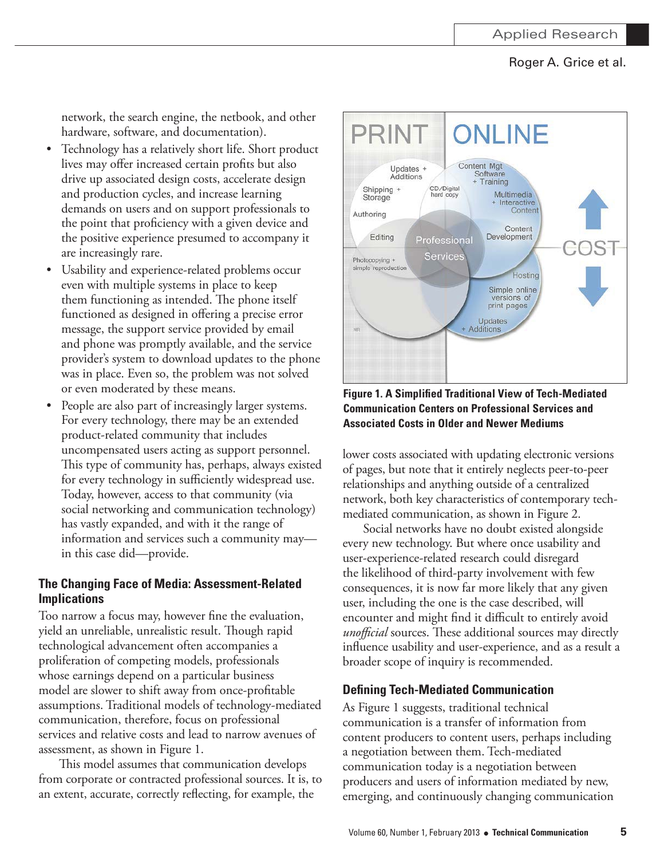network, the search engine, the netbook, and other hardware, software, and documentation).

- Technology has a relatively short life. Short product lives may offer increased certain profits but also drive up associated design costs, accelerate design and production cycles, and increase learning demands on users and on support professionals to the point that proficiency with a given device and the positive experience presumed to accompany it are increasingly rare.
- Usability and experience-related problems occur even with multiple systems in place to keep them functioning as intended. The phone itself functioned as designed in offering a precise error message, the support service provided by email and phone was promptly available, and the service provider's system to download updates to the phone was in place. Even so, the problem was not solved or even moderated by these means.
- People are also part of increasingly larger systems. For every technology, there may be an extended product-related community that includes uncompensated users acting as support personnel. This type of community has, perhaps, always existed for every technology in sufficiently widespread use. Today, however, access to that community (via social networking and communication technology) has vastly expanded, and with it the range of information and services such a community mayin this case did-provide.

### The Changing Face of Media: Assessment-Related **Implications**

Too narrow a focus may, however fine the evaluation, yield an unreliable, unrealistic result. Though rapid technological advancement often accompanies a proliferation of competing models, professionals whose earnings depend on a particular business model are slower to shift away from once-profitable assumptions. Traditional models of technology-mediated communication, therefore, focus on professional services and relative costs and lead to narrow avenues of assessment, as shown in Figure 1.

This model assumes that communication develops from corporate or contracted professional sources. It is, to an extent, accurate, correctly reflecting, for example, the



**Figure 1. A Simplified Traditional View of Tech-Mediated Communication Centers on Professional Services and Associated Costs in Older and Newer Mediums** 

lower costs associated with updating electronic versions of pages, but note that it entirely neglects peer-to-peer relationships and anything outside of a centralized network, both key characteristics of contemporary techmediated communication, as shown in Figure 2.

Social networks have no doubt existed alongside every new technology. But where once usability and user-experience-related research could disregard the likelihood of third-party involvement with few consequences, it is now far more likely that any given user, including the one is the case described, will encounter and might find it difficult to entirely avoid unofficial sources. These additional sources may directly influence usability and user-experience, and as a result a broader scope of inquiry is recommended.

### **Defining Tech-Mediated Communication**

As Figure 1 suggests, traditional technical communication is a transfer of information from content producers to content users, perhaps including a negotiation between them. Tech-mediated communication today is a negotiation between producers and users of information mediated by new, emerging, and continuously changing communication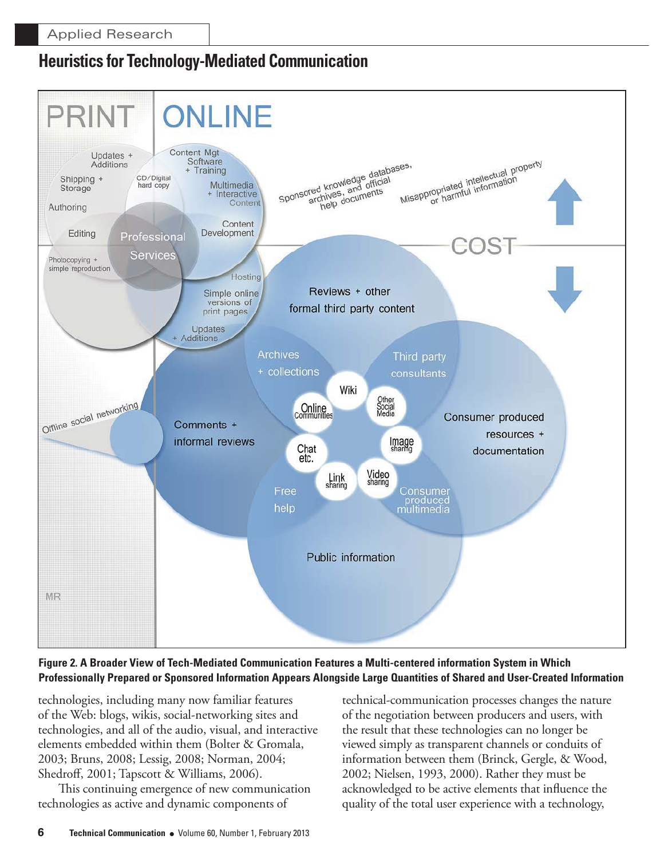

Figure 2. A Broader View of Tech-Mediated Communication Features a Multi-centered information System in Which Professionally Prepared or Sponsored Information Appears Alongside Large Quantities of Shared and User-Created Information

technologies, including many now familiar features of the Web: blogs, wikis, social-networking sites and technologies, and all of the audio, visual, and interactive elements embedded within them (Bolter & Gromala, 2003; Bruns, 2008; Lessig, 2008; Norman, 2004; Shedroff, 2001; Tapscott & Williams, 2006).

This continuing emergence of new communication technologies as active and dynamic components of

technical-communication processes changes the nature of the negotiation between producers and users, with the result that these technologies can no longer be viewed simply as transparent channels or conduits of information between them (Brinck, Gergle, & Wood, 2002; Nielsen, 1993, 2000). Rather they must be acknowledged to be active elements that influence the quality of the total user experience with a technology,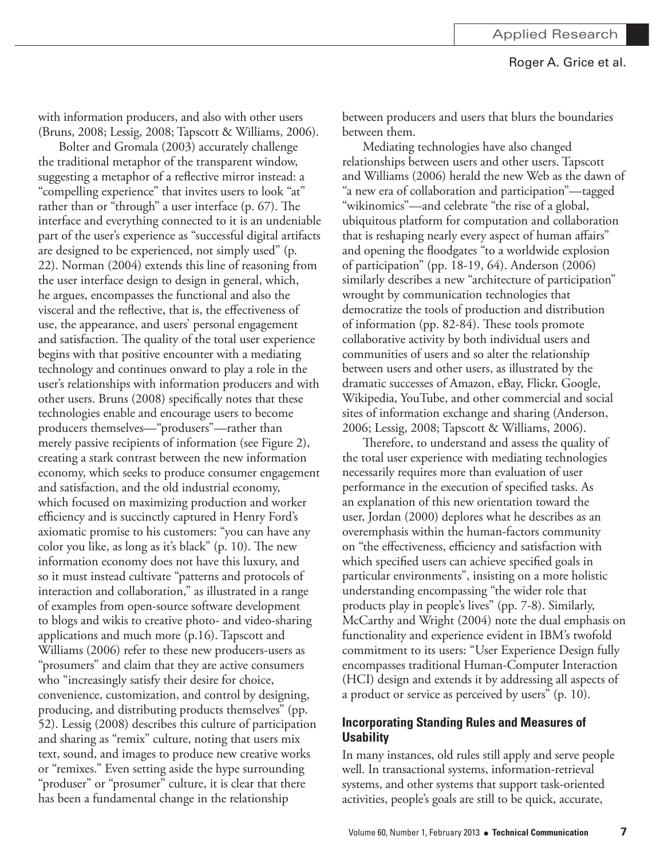with information producers, and also with other users (Bruns, 2008; Lessig, 2008; Tapscott & Williams, 2006).

Bolter and Gromala (2003) accurately challenge the traditional metaphor of the transparent window, suggesting a metaphor of a reflective mirror instead: a "compelling experience" that invites users to look "at" rather than or "through" a user interface (p. 67). The interface and everything connected to it is an undeniable part of the user's experience as "successful digital artifacts are designed to be experienced, not simply used" (p. 22). Norman (2004) extends this line of reasoning from the user interface design to design in general, which, he argues, encompasses the functional and also the visceral and the reflective, that is, the effectiveness of use, the appearance, and users' personal engagement and satisfaction. The quality of the total user experience begins with that positive encounter with a mediating technology and continues onward to play a role in the user's relationships with information producers and with other users. Bruns (2008) specifically notes that these technologies enable and encourage users to become producers themselves—"produsers"—rather than merely passive recipients of information (see Figure 2), creating a stark contrast between the new information economy, which seeks to produce consumer engagement and satisfaction, and the old industrial economy, which focused on maximizing production and worker efficiency and is succinctly captured in Henry Ford's axiomatic promise to his customers: "you can have any color you like, as long as it's black" (p. 10). The new information economy does not have this luxury, and so it must instead cultivate "patterns and protocols of interaction and collaboration," as illustrated in a range of examples from open-source software development to blogs and wikis to creative photo- and video-sharing applications and much more (p.16). Tapscott and Williams (2006) refer to these new producers-users as "prosumers" and claim that they are active consumers who "increasingly satisfy their desire for choice, convenience, customization, and control by designing, producing, and distributing products themselves" (pp. 52). Lessig (2008) describes this culture of participation and sharing as "remix" culture, noting that users mix text, sound, and images to produce new creative works or "remixes." Even setting aside the hype surrounding "produser" or "prosumer" culture, it is clear that there has been a fundamental change in the relationship

between producers and users that blurs the boundaries between them.

Mediating technologies have also changed relationships between users and other users. Tapscott and Williams (2006) herald the new Web as the dawn of "a new era of collaboration and participation"—tagged "wikinomics"—and celebrate "the rise of a global, ubiquitous platform for computation and collaboration that is reshaping nearly every aspect of human affairs" and opening the floodgates "to a worldwide explosion of participation" (pp. 18-19, 64). Anderson (2006) similarly describes a new "architecture of participation" wrought by communication technologies that democratize the tools of production and distribution of information (pp. 82-84). These tools promote collaborative activity by both individual users and communities of users and so alter the relationship between users and other users, as illustrated by the dramatic successes of Amazon, eBay, Flickr, Google, Wikipedia, YouTube, and other commercial and social sites of information exchange and sharing (Anderson, 2006; Lessig, 2008; Tapscott & Williams, 2006).

Therefore, to understand and assess the quality of the total user experience with mediating technologies necessarily requires more than evaluation of user performance in the execution of specified tasks. As an explanation of this new orientation toward the user, Jordan (2000) deplores what he describes as an overemphasis within the human-factors community on "the effectiveness, efficiency and satisfaction with which specified users can achieve specified goals in particular environments", insisting on a more holistic understanding encompassing "the wider role that products play in people's lives" (pp. 7-8). Similarly, McCarthy and Wright (2004) note the dual emphasis on functionality and experience evident in IBM's twofold commitment to its users: "User Experience Design fully encompasses traditional Human-Computer Interaction (HCI) design and extends it by addressing all aspects of a product or service as perceived by users" (p. 10).

### **Incorporating Standing Rules and Measures of Usability**

In many instances, old rules still apply and serve people well. In transactional systems, information-retrieval systems, and other systems that support task-oriented activities, people's goals are still to be quick, accurate,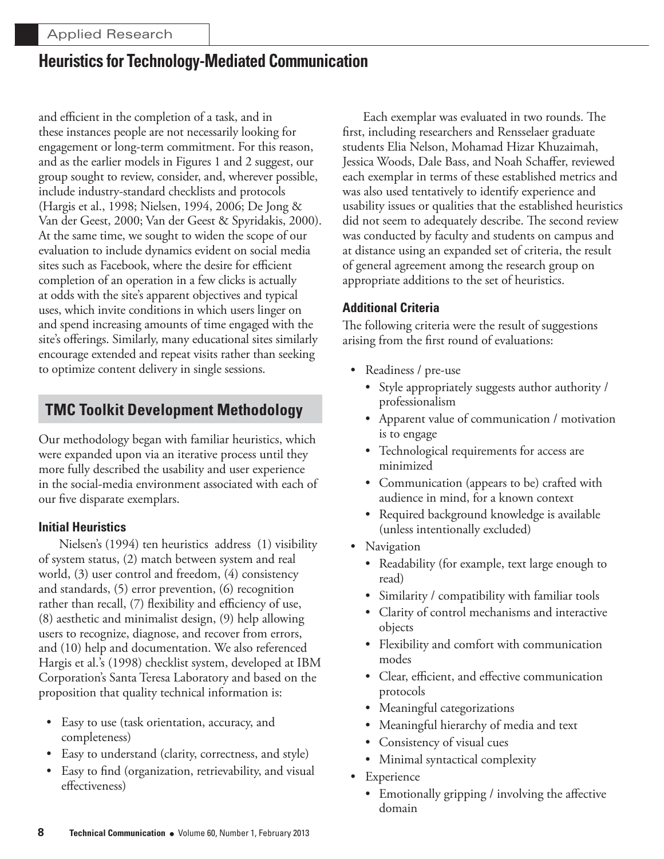and efficient in the completion of a task, and in these instances people are not necessarily looking for engagement or long-term commitment. For this reason, and as the earlier models in Figures 1 and 2 suggest, our group sought to review, consider, and, wherever possible, include industry-standard checklists and protocols (Hargis et al., 1998; Nielsen, 1994, 2006; De Jong & Van der Geest, 2000; Van der Geest & Spyridakis, 2000). At the same time, we sought to widen the scope of our evaluation to include dynamics evident on social media sites such as Facebook, where the desire for efficient completion of an operation in a few clicks is actually at odds with the site's apparent objectives and typical uses, which invite conditions in which users linger on and spend increasing amounts of time engaged with the site's offerings. Similarly, many educational sites similarly encourage extended and repeat visits rather than seeking to optimize content delivery in single sessions.

# **TMC Toolkit Development Methodology**

Our methodology began with familiar heuristics, which were expanded upon via an iterative process until they more fully described the usability and user experience in the social-media environment associated with each of our five disparate exemplars.

### **Initial Heuristics**

Nielsen's (1994) ten heuristics address (1) visibility of system status, (2) match between system and real world, (3) user control and freedom, (4) consistency and standards, (5) error prevention, (6) recognition rather than recall, (7) flexibility and efficiency of use, (8) aesthetic and minimalist design, (9) help allowing users to recognize, diagnose, and recover from errors, and (10) help and documentation. We also referenced Hargis et al.'s (1998) checklist system, developed at IBM Corporation's Santa Teresa Laboratory and based on the proposition that quality technical information is:

- Easy to use (task orientation, accuracy, and completeness)
- Easy to understand (clarity, correctness, and style)
- Easy to find (organization, retrievability, and visual effectiveness)

Each exemplar was evaluated in two rounds. The first, including researchers and Rensselaer graduate students Elia Nelson, Mohamad Hizar Khuzaimah, Jessica Woods, Dale Bass, and Noah Schaffer, reviewed each exemplar in terms of these established metrics and was also used tentatively to identify experience and usability issues or qualities that the established heuristics did not seem to adequately describe. The second review was conducted by faculty and students on campus and at distance using an expanded set of criteria, the result of general agreement among the research group on appropriate additions to the set of heuristics.

### **Additional Criteria**

The following criteria were the result of suggestions arising from the first round of evaluations:

- Readiness / pre-use
	- Style appropriately suggests author authority / professionalism
	- Apparent value of communication / motivation is to engage
	- Technological requirements for access are minimized
	- Communication (appears to be) crafted with audience in mind, for a known context
	- Required background knowledge is available (unless intentionally excluded)
- Navigation
	- Readability (for example, text large enough to read)
	- Similarity / compatibility with familiar tools
	- Clarity of control mechanisms and interactive objects
	- Flexibility and comfort with communication modes
	- Clear, efficient, and effective communication protocols
	- Meaningful categorizations
	- Meaningful hierarchy of media and text
	- Consistency of visual cues
	- Minimal syntactical complexity
- Experience
	- Emotionally gripping / involving the affective domain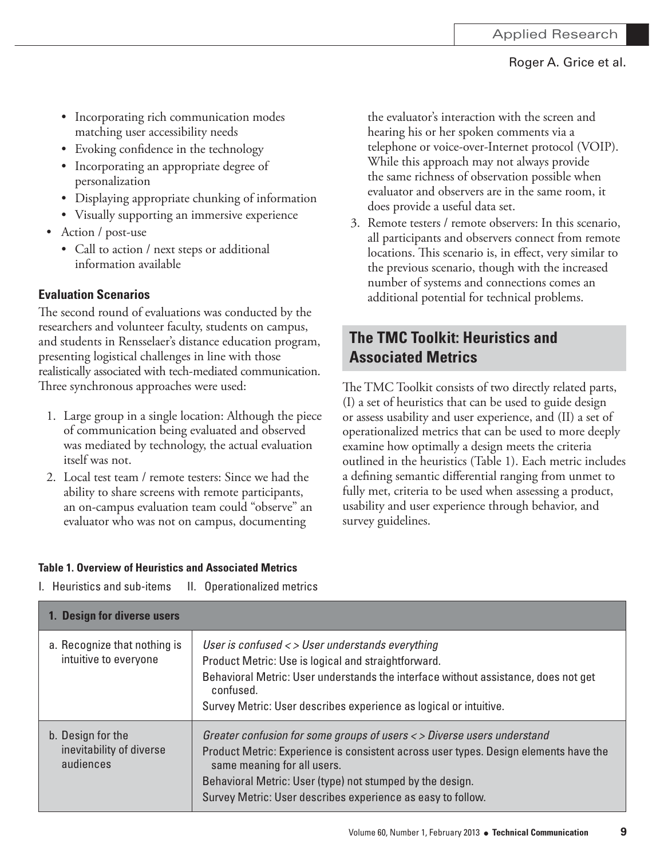- Incorporating rich communication modes matching user accessibility needs
- Evoking confidence in the technology
- Incorporating an appropriate degree of personalization
- Displaying appropriate chunking of information
- Visually supporting an immersive experience
- Action / post-use
	- Call to action / next steps or additional information available

### **Evaluation Scenarios**

The second round of evaluations was conducted by the researchers and volunteer faculty, students on campus, and students in Rensselaer's distance education program, presenting logistical challenges in line with those realistically associated with tech-mediated communication. Three synchronous approaches were used:

- 1. Large group in a single location: Although the piece of communication being evaluated and observed was mediated by technology, the actual evaluation itself was not.
- 2. Local test team / remote testers: Since we had the ability to share screens with remote participants, an on-campus evaluation team could "observe" an evaluator who was not on campus, documenting

the evaluator's interaction with the screen and hearing his or her spoken comments via a telephone or voice-over-Internet protocol (VOIP). While this approach may not always provide the same richness of observation possible when evaluator and observers are in the same room, it does provide a useful data set.

3. Remote testers / remote observers: In this scenario, all participants and observers connect from remote locations. This scenario is, in effect, very similar to the previous scenario, though with the increased number of systems and connections comes an additional potential for technical problems.

### **The TMC Toolkit: Heuristics and Associated Metrics**

The TMC Toolkit consists of two directly related parts, (I) a set of heuristics that can be used to guide design or assess usability and user experience, and (II) a set of operationalized metrics that can be used to more deeply examine how optimally a design meets the criteria outlined in the heuristics (Table 1). Each metric includes a defining semantic differential ranging from unmet to fully met, criteria to be used when assessing a product, usability and user experience through behavior, and survey guidelines.

### **Table 1. Overview of Heuristics and Associated Metrics**

| 1. Design for diverse users                                |                                                                                                                                                                                                                                                                                                                            |
|------------------------------------------------------------|----------------------------------------------------------------------------------------------------------------------------------------------------------------------------------------------------------------------------------------------------------------------------------------------------------------------------|
| a. Recognize that nothing is<br>intuitive to everyone      | User is confused $\langle \rangle$ User understands everything<br>Product Metric: Use is logical and straightforward.<br>Behavioral Metric: User understands the interface without assistance, does not get<br>confused.<br>Survey Metric: User describes experience as logical or intuitive.                              |
| b. Design for the<br>inevitability of diverse<br>audiences | Greater confusion for some groups of users < > Diverse users understand<br>Product Metric: Experience is consistent across user types. Design elements have the<br>same meaning for all users.<br>Behavioral Metric: User (type) not stumped by the design.<br>Survey Metric: User describes experience as easy to follow. |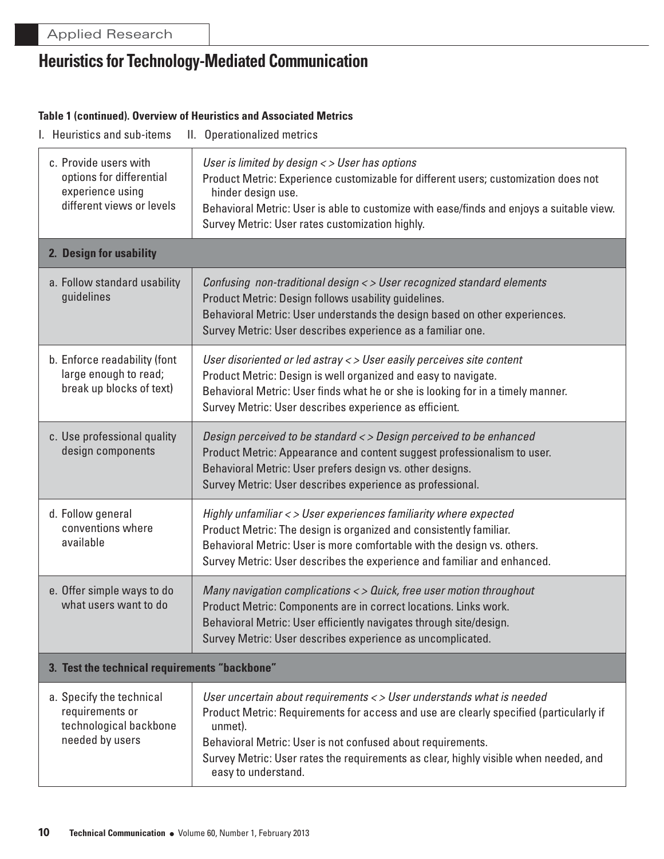#### **Table 1 (continued). Overview of Heuristics and Associated Metrics**

|  | I. Heuristics and sub-items |  | II. Operationalized metrics |  |
|--|-----------------------------|--|-----------------------------|--|
|--|-----------------------------|--|-----------------------------|--|

| c. Provide users with<br>options for differential<br>experience using<br>different views or levels | User is limited by design < > User has options<br>Product Metric: Experience customizable for different users; customization does not<br>hinder design use.<br>Behavioral Metric: User is able to customize with ease/finds and enjoys a suitable view.<br>Survey Metric: User rates customization highly.                                               |  |
|----------------------------------------------------------------------------------------------------|----------------------------------------------------------------------------------------------------------------------------------------------------------------------------------------------------------------------------------------------------------------------------------------------------------------------------------------------------------|--|
| 2. Design for usability                                                                            |                                                                                                                                                                                                                                                                                                                                                          |  |
| a. Follow standard usability<br>guidelines                                                         | Confusing non-traditional design < > User recognized standard elements<br>Product Metric: Design follows usability guidelines.<br>Behavioral Metric: User understands the design based on other experiences.<br>Survey Metric: User describes experience as a familiar one.                                                                              |  |
| b. Enforce readability (font<br>large enough to read;<br>break up blocks of text)                  | User disoriented or led astray < > User easily perceives site content<br>Product Metric: Design is well organized and easy to navigate.<br>Behavioral Metric: User finds what he or she is looking for in a timely manner.<br>Survey Metric: User describes experience as efficient.                                                                     |  |
| c. Use professional quality<br>design components                                                   | Design perceived to be standard < > Design perceived to be enhanced<br>Product Metric: Appearance and content suggest professionalism to user.<br>Behavioral Metric: User prefers design vs. other designs.<br>Survey Metric: User describes experience as professional.                                                                                 |  |
| d. Follow general<br>conventions where<br>available                                                | Highly unfamiliar < > User experiences familiarity where expected<br>Product Metric: The design is organized and consistently familiar.<br>Behavioral Metric: User is more comfortable with the design vs. others.<br>Survey Metric: User describes the experience and familiar and enhanced.                                                            |  |
| e. Offer simple ways to do<br>what users want to do                                                | Many navigation complications < > Quick, free user motion throughout<br>Product Metric: Components are in correct locations. Links work.<br>Behavioral Metric: User efficiently navigates through site/design.<br>Survey Metric: User describes experience as uncomplicated.                                                                             |  |
| 3. Test the technical requirements "backbone"                                                      |                                                                                                                                                                                                                                                                                                                                                          |  |
| a. Specify the technical<br>requirements or<br>technological backbone<br>needed by users           | User uncertain about requirements < > User understands what is needed<br>Product Metric: Requirements for access and use are clearly specified (particularly if<br>unmet).<br>Behavioral Metric: User is not confused about requirements.<br>Survey Metric: User rates the requirements as clear, highly visible when needed, and<br>easy to understand. |  |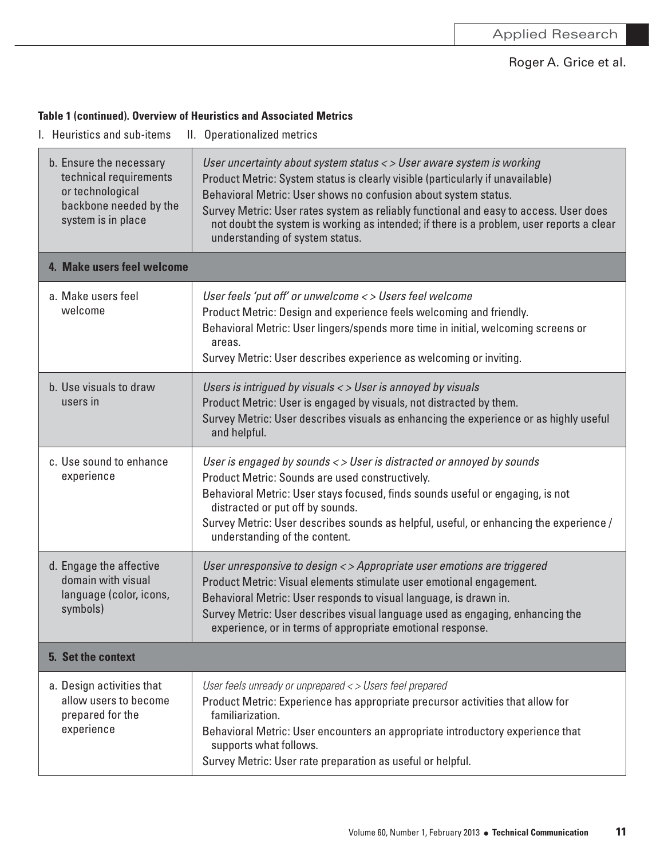### **Table 1 (continued). Overview of Heuristics and Associated Metrics**

| b. Ensure the necessary<br>technical requirements<br>or technological<br>backbone needed by the<br>system is in place | User uncertainty about system status < > User aware system is working<br>Product Metric: System status is clearly visible (particularly if unavailable)<br>Behavioral Metric: User shows no confusion about system status.<br>Survey Metric: User rates system as reliably functional and easy to access. User does<br>not doubt the system is working as intended; if there is a problem, user reports a clear<br>understanding of system status. |
|-----------------------------------------------------------------------------------------------------------------------|----------------------------------------------------------------------------------------------------------------------------------------------------------------------------------------------------------------------------------------------------------------------------------------------------------------------------------------------------------------------------------------------------------------------------------------------------|
| 4. Make users feel welcome                                                                                            |                                                                                                                                                                                                                                                                                                                                                                                                                                                    |
| a. Make users feel<br>welcome                                                                                         | User feels 'put off' or unwelcome < > Users feel welcome<br>Product Metric: Design and experience feels welcoming and friendly.<br>Behavioral Metric: User lingers/spends more time in initial, welcoming screens or<br>areas.<br>Survey Metric: User describes experience as welcoming or inviting.                                                                                                                                               |
| b. Use visuals to draw<br>users in                                                                                    | Users is intrigued by visuals < > User is annoyed by visuals<br>Product Metric: User is engaged by visuals, not distracted by them.<br>Survey Metric: User describes visuals as enhancing the experience or as highly useful<br>and helpful.                                                                                                                                                                                                       |
| c. Use sound to enhance<br>experience                                                                                 | User is engaged by sounds < > User is distracted or annoyed by sounds<br>Product Metric: Sounds are used constructively.<br>Behavioral Metric: User stays focused, finds sounds useful or engaging, is not<br>distracted or put off by sounds.<br>Survey Metric: User describes sounds as helpful, useful, or enhancing the experience /<br>understanding of the content.                                                                          |
| d. Engage the affective<br>domain with visual<br>language (color, icons,<br>symbols)                                  | User unresponsive to design < > Appropriate user emotions are triggered<br>Product Metric: Visual elements stimulate user emotional engagement.<br>Behavioral Metric: User responds to visual language, is drawn in.<br>Survey Metric: User describes visual language used as engaging, enhancing the<br>experience, or in terms of appropriate emotional response.                                                                                |
| 5. Set the context                                                                                                    |                                                                                                                                                                                                                                                                                                                                                                                                                                                    |
| a. Design activities that<br>allow users to become<br>prepared for the<br>experience                                  | User feels unready or unprepared <> Users feel prepared<br>Product Metric: Experience has appropriate precursor activities that allow for<br>familiarization.<br>Behavioral Metric: User encounters an appropriate introductory experience that<br>supports what follows.<br>Survey Metric: User rate preparation as useful or helpful.                                                                                                            |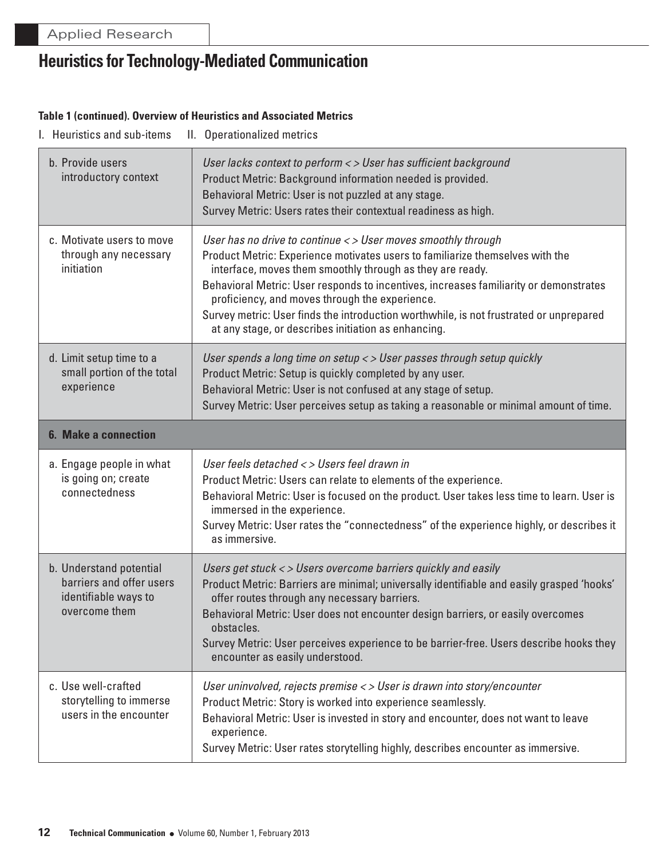#### **Table 1 (continued). Overview of Heuristics and Associated Metrics**

| b. Provide users<br>introductory context                                                     | User lacks context to perform < > User has sufficient background<br>Product Metric: Background information needed is provided.<br>Behavioral Metric: User is not puzzled at any stage.<br>Survey Metric: Users rates their contextual readiness as high.                                                                                                                                                                                                                                                |  |
|----------------------------------------------------------------------------------------------|---------------------------------------------------------------------------------------------------------------------------------------------------------------------------------------------------------------------------------------------------------------------------------------------------------------------------------------------------------------------------------------------------------------------------------------------------------------------------------------------------------|--|
| c. Motivate users to move<br>through any necessary<br>initiation                             | User has no drive to continue < > User moves smoothly through<br>Product Metric: Experience motivates users to familiarize themselves with the<br>interface, moves them smoothly through as they are ready.<br>Behavioral Metric: User responds to incentives, increases familiarity or demonstrates<br>proficiency, and moves through the experience.<br>Survey metric: User finds the introduction worthwhile, is not frustrated or unprepared<br>at any stage, or describes initiation as enhancing. |  |
| d. Limit setup time to a<br>small portion of the total<br>experience                         | User spends a long time on setup < > User passes through setup quickly<br>Product Metric: Setup is quickly completed by any user.<br>Behavioral Metric: User is not confused at any stage of setup.<br>Survey Metric: User perceives setup as taking a reasonable or minimal amount of time.                                                                                                                                                                                                            |  |
| <b>6. Make a connection</b>                                                                  |                                                                                                                                                                                                                                                                                                                                                                                                                                                                                                         |  |
| a. Engage people in what<br>is going on; create<br>connectedness                             | User feels detached < > Users feel drawn in<br>Product Metric: Users can relate to elements of the experience.<br>Behavioral Metric: User is focused on the product. User takes less time to learn. User is<br>immersed in the experience.<br>Survey Metric: User rates the "connectedness" of the experience highly, or describes it<br>as immersive.                                                                                                                                                  |  |
| b. Understand potential<br>barriers and offer users<br>identifiable ways to<br>overcome them | Users get stuck < > Users overcome barriers quickly and easily<br>Product Metric: Barriers are minimal; universally identifiable and easily grasped 'hooks'<br>offer routes through any necessary barriers.<br>Behavioral Metric: User does not encounter design barriers, or easily overcomes<br>obstacles.<br>Survey Metric: User perceives experience to be barrier-free. Users describe hooks they<br>encounter as easily understood.                                                               |  |
| c. Use well-crafted<br>storytelling to immerse<br>users in the encounter                     | User uninvolved, rejects premise < > User is drawn into story/encounter<br>Product Metric: Story is worked into experience seamlessly.<br>Behavioral Metric: User is invested in story and encounter, does not want to leave<br>experience.<br>Survey Metric: User rates storytelling highly, describes encounter as immersive.                                                                                                                                                                         |  |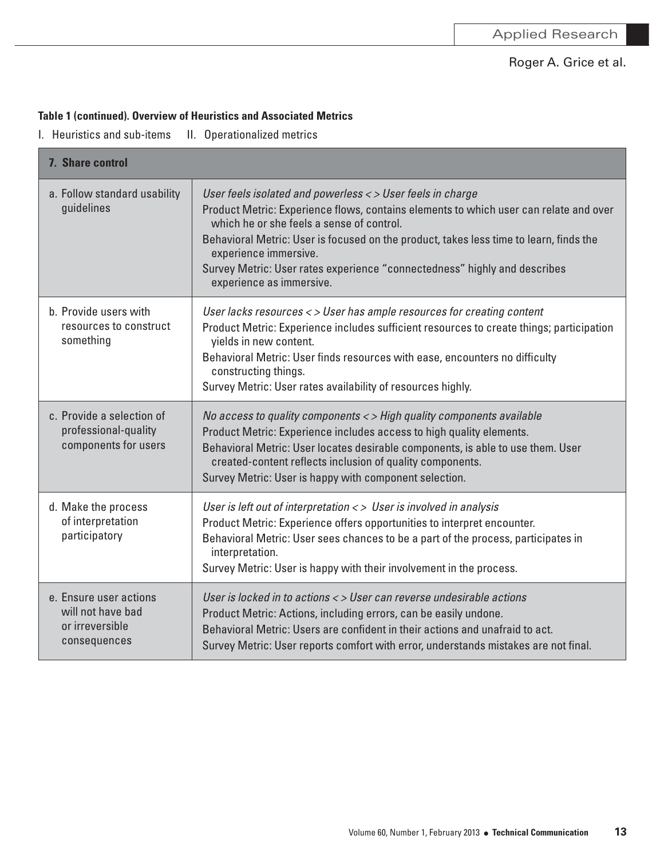### **Table 1 (continued). Overview of Heuristics and Associated Metrics**

| 7. Share control                                                               |                                                                                                                                                                                                                                                                                                                                                                                                                              |  |
|--------------------------------------------------------------------------------|------------------------------------------------------------------------------------------------------------------------------------------------------------------------------------------------------------------------------------------------------------------------------------------------------------------------------------------------------------------------------------------------------------------------------|--|
| a. Follow standard usability<br>guidelines                                     | User feels isolated and powerless < > User feels in charge<br>Product Metric: Experience flows, contains elements to which user can relate and over<br>which he or she feels a sense of control.<br>Behavioral Metric: User is focused on the product, takes less time to learn, finds the<br>experience immersive.<br>Survey Metric: User rates experience "connectedness" highly and describes<br>experience as immersive. |  |
| b. Provide users with<br>resources to construct<br>something                   | User lacks resources <> User has ample resources for creating content<br>Product Metric: Experience includes sufficient resources to create things; participation<br>yields in new content.<br>Behavioral Metric: User finds resources with ease, encounters no difficulty<br>constructing things.<br>Survey Metric: User rates availability of resources highly.                                                            |  |
| c. Provide a selection of<br>professional-quality<br>components for users      | No access to quality components <> High quality components available<br>Product Metric: Experience includes access to high quality elements.<br>Behavioral Metric: User locates desirable components, is able to use them. User<br>created-content reflects inclusion of quality components.<br>Survey Metric: User is happy with component selection.                                                                       |  |
| d. Make the process<br>of interpretation<br>participatory                      | User is left out of interpretation <> User is involved in analysis<br>Product Metric: Experience offers opportunities to interpret encounter.<br>Behavioral Metric: User sees chances to be a part of the process, participates in<br>interpretation.<br>Survey Metric: User is happy with their involvement in the process.                                                                                                 |  |
| e. Ensure user actions<br>will not have bad<br>or irreversible<br>consequences | User is locked in to actions < > User can reverse undesirable actions<br>Product Metric: Actions, including errors, can be easily undone.<br>Behavioral Metric: Users are confident in their actions and unafraid to act.<br>Survey Metric: User reports comfort with error, understands mistakes are not final.                                                                                                             |  |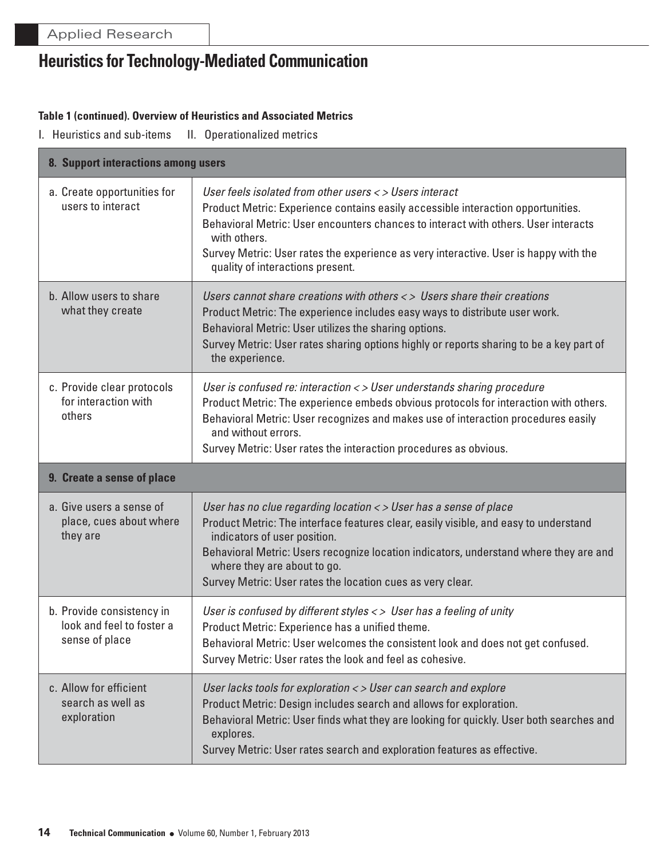Г

# **Heuristics for Technology-Mediated Communication**

#### **Table 1 (continued). Overview of Heuristics and Associated Metrics**

| 8. Support interactions among users                                      |                                                                                                                                                                                                                                                                                                                                                                                 |  |
|--------------------------------------------------------------------------|---------------------------------------------------------------------------------------------------------------------------------------------------------------------------------------------------------------------------------------------------------------------------------------------------------------------------------------------------------------------------------|--|
| a. Create opportunities for<br>users to interact                         | User feels isolated from other users <> Users interact<br>Product Metric: Experience contains easily accessible interaction opportunities.<br>Behavioral Metric: User encounters chances to interact with others. User interacts<br>with others.<br>Survey Metric: User rates the experience as very interactive. User is happy with the<br>quality of interactions present.    |  |
| b. Allow users to share<br>what they create                              | Users cannot share creations with others $\langle \rangle$ Users share their creations<br>Product Metric: The experience includes easy ways to distribute user work.<br>Behavioral Metric: User utilizes the sharing options.<br>Survey Metric: User rates sharing options highly or reports sharing to be a key part of<br>the experience.                                     |  |
| c. Provide clear protocols<br>for interaction with<br>others             | User is confused re: interaction < > User understands sharing procedure<br>Product Metric: The experience embeds obvious protocols for interaction with others.<br>Behavioral Metric: User recognizes and makes use of interaction procedures easily<br>and without errors.<br>Survey Metric: User rates the interaction procedures as obvious.                                 |  |
| 9. Create a sense of place                                               |                                                                                                                                                                                                                                                                                                                                                                                 |  |
| a. Give users a sense of<br>place, cues about where<br>they are          | User has no clue regarding location < > User has a sense of place<br>Product Metric: The interface features clear, easily visible, and easy to understand<br>indicators of user position.<br>Behavioral Metric: Users recognize location indicators, understand where they are and<br>where they are about to go.<br>Survey Metric: User rates the location cues as very clear. |  |
| b. Provide consistency in<br>look and feel to foster a<br>sense of place | User is confused by different styles $\langle \rangle$ User has a feeling of unity<br>Product Metric: Experience has a unified theme.<br>Behavioral Metric: User welcomes the consistent look and does not get confused.<br>Survey Metric: User rates the look and feel as cohesive.                                                                                            |  |
| c. Allow for efficient<br>search as well as<br>exploration               | User lacks tools for exploration < > User can search and explore<br>Product Metric: Design includes search and allows for exploration.<br>Behavioral Metric: User finds what they are looking for quickly. User both searches and<br>explores.                                                                                                                                  |  |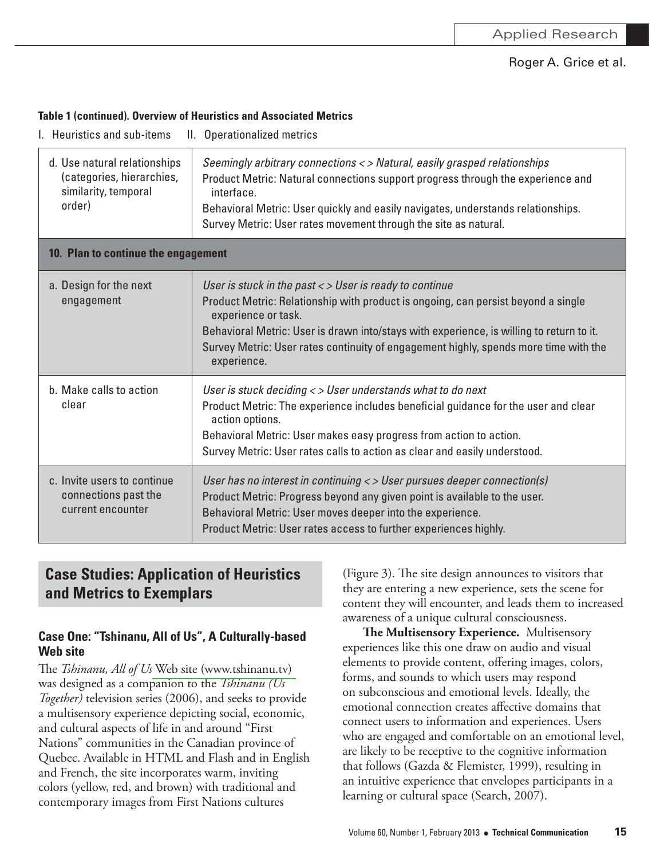#### **Table 1 (continued). Overview of Heuristics and Associated Metrics**

| I. Heuristics and sub-items                                                                 | II. Operationalized metrics                                                                                                                                                                                                                                                                                                                                            |  |
|---------------------------------------------------------------------------------------------|------------------------------------------------------------------------------------------------------------------------------------------------------------------------------------------------------------------------------------------------------------------------------------------------------------------------------------------------------------------------|--|
| d. Use natural relationships<br>(categories, hierarchies,<br>similarity, temporal<br>order) | Seemingly arbitrary connections <> Natural, easily grasped relationships<br>Product Metric: Natural connections support progress through the experience and<br>interface.<br>Behavioral Metric: User quickly and easily navigates, understands relationships.<br>Survey Metric: User rates movement through the site as natural.                                       |  |
| 10. Plan to continue the engagement                                                         |                                                                                                                                                                                                                                                                                                                                                                        |  |
| a. Design for the next<br>engagement                                                        | User is stuck in the past < > User is ready to continue<br>Product Metric: Relationship with product is ongoing, can persist beyond a single<br>experience or task.<br>Behavioral Metric: User is drawn into/stays with experience, is willing to return to it.<br>Survey Metric: User rates continuity of engagement highly, spends more time with the<br>experience. |  |
| b. Make calls to action<br>clear                                                            | User is stuck deciding < > User understands what to do next<br>Product Metric: The experience includes beneficial guidance for the user and clear<br>action options.<br>Behavioral Metric: User makes easy progress from action to action.<br>Survey Metric: User rates calls to action as clear and easily understood.                                                |  |
| c. Invite users to continue<br>connections past the<br>current encounter                    | User has no interest in continuing < > User pursues deeper connection(s)<br>Product Metric: Progress beyond any given point is available to the user.<br>Behavioral Metric: User moves deeper into the experience.<br>Product Metric: User rates access to further experiences highly.                                                                                 |  |

### **Case Studies: Application of Heuristics and Metrics to Exemplars**

### **Case One: "Tshinanu, All of Us", A Culturally-based Web site**

The *Tshinanu, All of Us* Web site (www.tshinanu.tv) was designed as a companion to the *Tshinanu* (Us Together) television series (2006), and seeks to provide a multisensory experience depicting social, economic, and cultural aspects of life in and around "First Nations" communities in the Canadian province of Quebec. Available in HTML and Flash and in English and French, the site incorporates warm, inviting colors (yellow, red, and brown) with traditional and contemporary images from First Nations cultures

(Figure 3). The site design announces to visitors that they are entering a new experience, sets the scene for content they will encounter, and leads them to increased awareness of a unique cultural consciousness.

**The Multisensory Experience.** Multisensory experiences like this one draw on audio and visual elements to provide content, offering images, colors, forms, and sounds to which users may respond on subconscious and emotional levels. Ideally, the emotional connection creates affective domains that connect users to information and experiences. Users who are engaged and comfortable on an emotional level, are likely to be receptive to the cognitive information that follows (Gazda & Flemister, 1999), resulting in an intuitive experience that envelopes participants in a learning or cultural space (Search, 2007).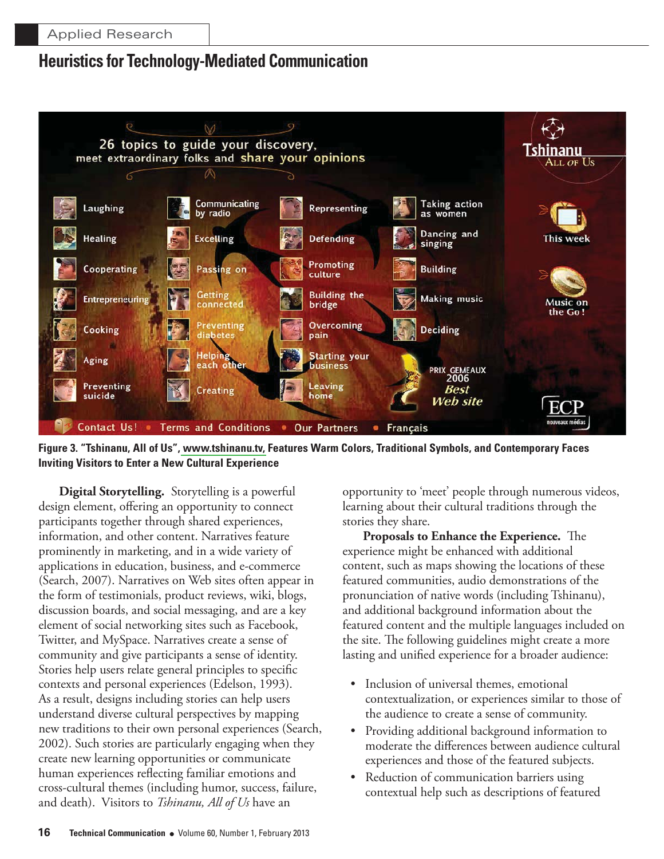



**Digital Storytelling.** Storytelling is a powerful design element, offering an opportunity to connect participants together through shared experiences, information, and other content. Narratives feature prominently in marketing, and in a wide variety of applications in education, business, and e-commerce (Search, 2007). Narratives on Web sites often appear in the form of testimonials, product reviews, wiki, blogs, discussion boards, and social messaging, and are a key element of social networking sites such as Facebook, Twitter, and MySpace. Narratives create a sense of community and give participants a sense of identity. Stories help users relate general principles to specific contexts and personal experiences (Edelson, 1993). As a result, designs including stories can help users understand diverse cultural perspectives by mapping new traditions to their own personal experiences (Search, 2002). Such stories are particularly engaging when they create new learning opportunities or communicate human experiences reflecting familiar emotions and cross-cultural themes (including humor, success, failure, and death). Visitors to *Tshinanu*, *All of Us* have an

opportunity to 'meet' people through numerous videos, learning about their cultural traditions through the stories they share.

Proposals to Enhance the Experience. The experience might be enhanced with additional content, such as maps showing the locations of these featured communities, audio demonstrations of the pronunciation of native words (including Tshinanu), and additional background information about the featured content and the multiple languages included on the site. The following guidelines might create a more lasting and unified experience for a broader audience:

- Inclusion of universal themes, emotional contextualization, or experiences similar to those of the audience to create a sense of community.
- Providing additional background information to moderate the differences between audience cultural experiences and those of the featured subjects.
- $\bullet$ Reduction of communication barriers using contextual help such as descriptions of featured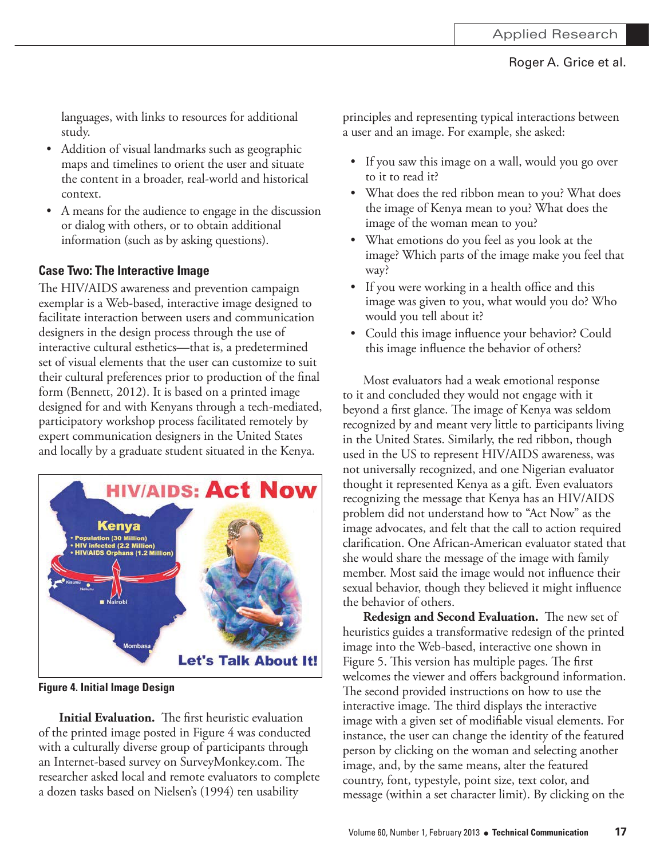languages, with links to resources for additional study.

- Addition of visual landmarks such as geographic maps and timelines to orient the user and situate the content in a broader, real-world and historical context.
- A means for the audience to engage in the discussion or dialog with others, or to obtain additional information (such as by asking questions).

### **Case Two: The Interactive Image**

The HIV/AIDS awareness and prevention campaign exemplar is a Web-based, interactive image designed to facilitate interaction between users and communication designers in the design process through the use of interactive cultural esthetics-that is, a predetermined set of visual elements that the user can customize to suit their cultural preferences prior to production of the final form (Bennett, 2012). It is based on a printed image designed for and with Kenyans through a tech-mediated, participatory workshop process facilitated remotely by expert communication designers in the United States and locally by a graduate student situated in the Kenya.



**Figure 4. Initial Image Design** 

Initial Evaluation. The first heuristic evaluation of the printed image posted in Figure 4 was conducted with a culturally diverse group of participants through an Internet-based survey on SurveyMonkey.com. The researcher asked local and remote evaluators to complete a dozen tasks based on Nielsen's (1994) ten usability

principles and representing typical interactions between a user and an image. For example, she asked:

- If you saw this image on a wall, would you go over to it to read it?
- What does the red ribbon mean to you? What does the image of Kenya mean to you? What does the image of the woman mean to you?
- What emotions do you feel as you look at the image? Which parts of the image make you feel that way?
- If you were working in a health office and this image was given to you, what would you do? Who would you tell about it?
- Could this image influence your behavior? Could this image influence the behavior of others?

Most evaluators had a weak emotional response to it and concluded they would not engage with it beyond a first glance. The image of Kenya was seldom recognized by and meant very little to participants living in the United States. Similarly, the red ribbon, though used in the US to represent HIV/AIDS awareness, was not universally recognized, and one Nigerian evaluator thought it represented Kenya as a gift. Even evaluators recognizing the message that Kenya has an HIV/AIDS problem did not understand how to "Act Now" as the image advocates, and felt that the call to action required clarification. One African-American evaluator stated that she would share the message of the image with family member. Most said the image would not influence their sexual behavior, though they believed it might influence the behavior of others.

**Redesign and Second Evaluation.** The new set of heuristics guides a transformative redesign of the printed image into the Web-based, interactive one shown in Figure 5. This version has multiple pages. The first welcomes the viewer and offers background information. The second provided instructions on how to use the interactive image. The third displays the interactive image with a given set of modifiable visual elements. For instance, the user can change the identity of the featured person by clicking on the woman and selecting another image, and, by the same means, alter the featured country, font, typestyle, point size, text color, and message (within a set character limit). By clicking on the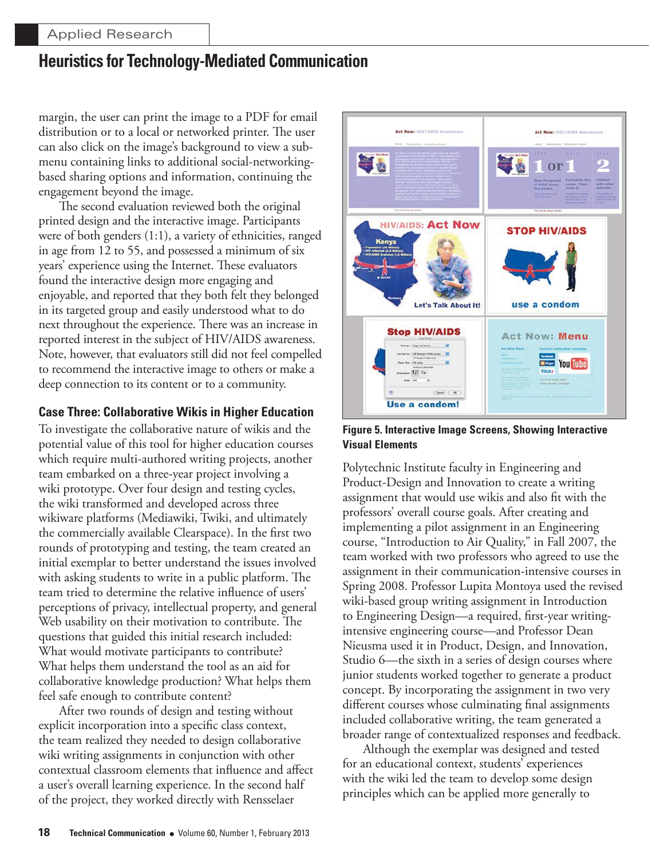margin, the user can print the image to a PDF for email distribution or to a local or networked printer. The user can also click on the image's background to view a submenu containing links to additional social-networkingbased sharing options and information, continuing the engagement beyond the image.

The second evaluation reviewed both the original printed design and the interactive image. Participants were of both genders (1:1), a variety of ethnicities, ranged in age from 12 to 55, and possessed a minimum of six years' experience using the Internet. These evaluators found the interactive design more engaging and enjoyable, and reported that they both felt they belonged in its targeted group and easily understood what to do next throughout the experience. There was an increase in reported interest in the subject of HIV/AIDS awareness. Note, however, that evaluators still did not feel compelled to recommend the interactive image to others or make a deep connection to its content or to a community.

### **Case Three: Collaborative Wikis in Higher Education**

To investigate the collaborative nature of wikis and the potential value of this tool for higher education courses which require multi-authored writing projects, another team embarked on a three-year project involving a wiki prototype. Over four design and testing cycles, the wiki transformed and developed across three wikiware platforms (Mediawiki, Twiki, and ultimately the commercially available Clearspace). In the first two rounds of prototyping and testing, the team created an initial exemplar to better understand the issues involved with asking students to write in a public platform. The team tried to determine the relative influence of users' perceptions of privacy, intellectual property, and general Web usability on their motivation to contribute. The questions that guided this initial research included: What would motivate participants to contribute? What helps them understand the tool as an aid for collaborative knowledge production? What helps them feel safe enough to contribute content?

After two rounds of design and testing without explicit incorporation into a specific class context, the team realized they needed to design collaborative wiki writing assignments in conjunction with other contextual classroom elements that influence and affect a user's overall learning experience. In the second half of the project, they worked directly with Rensselaer



**Figure 5. Interactive Image Screens, Showing Interactive Visual Elements** 

Polytechnic Institute faculty in Engineering and Product-Design and Innovation to create a writing assignment that would use wikis and also fit with the professors' overall course goals. After creating and implementing a pilot assignment in an Engineering course, "Introduction to Air Quality," in Fall 2007, the team worked with two professors who agreed to use the assignment in their communication-intensive courses in Spring 2008. Professor Lupita Montoya used the revised wiki-based group writing assignment in Introduction to Engineering Design-a required, first-year writingintensive engineering course—and Professor Dean Nieusma used it in Product, Design, and Innovation, Studio 6—the sixth in a series of design courses where junior students worked together to generate a product concept. By incorporating the assignment in two very different courses whose culminating final assignments included collaborative writing, the team generated a broader range of contextualized responses and feedback.

Although the exemplar was designed and tested for an educational context, students' experiences with the wiki led the team to develop some design principles which can be applied more generally to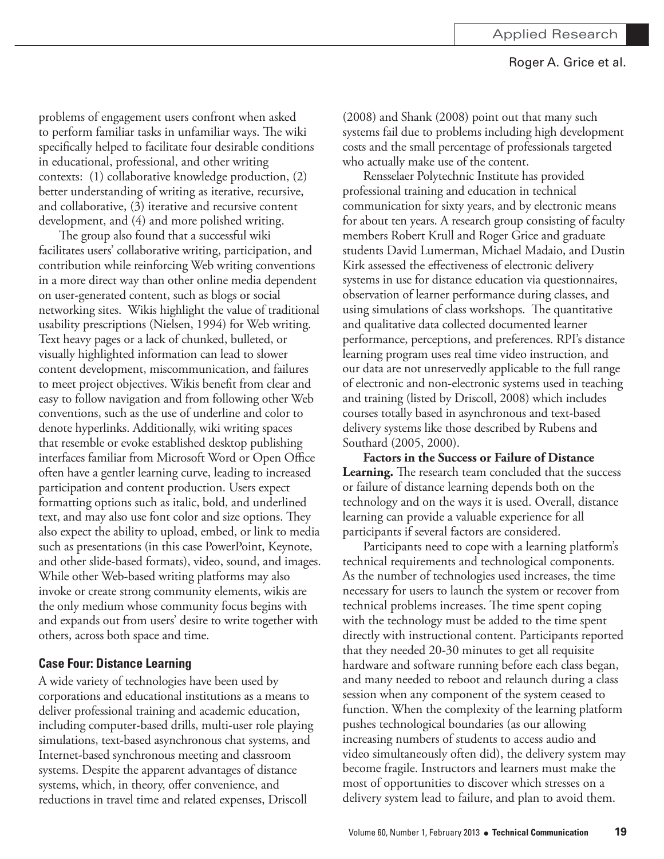problems of engagement users confront when asked to perform familiar tasks in unfamiliar ways. The wiki specifically helped to facilitate four desirable conditions in educational, professional, and other writing contexts: (1) collaborative knowledge production, (2) better understanding of writing as iterative, recursive, and collaborative, (3) iterative and recursive content development, and (4) and more polished writing.

The group also found that a successful wiki facilitates users' collaborative writing, participation, and contribution while reinforcing Web writing conventions in a more direct way than other online media dependent on user-generated content, such as blogs or social networking sites. Wikis highlight the value of traditional usability prescriptions (Nielsen, 1994) for Web writing. Text heavy pages or a lack of chunked, bulleted, or visually highlighted information can lead to slower content development, miscommunication, and failures to meet project objectives. Wikis benefit from clear and easy to follow navigation and from following other Web conventions, such as the use of underline and color to denote hyperlinks. Additionally, wiki writing spaces that resemble or evoke established desktop publishing interfaces familiar from Microsoft Word or Open Office often have a gentler learning curve, leading to increased participation and content production. Users expect formatting options such as italic, bold, and underlined text, and may also use font color and size options. They also expect the ability to upload, embed, or link to media such as presentations (in this case PowerPoint, Keynote, and other slide-based formats), video, sound, and images. While other Web-based writing platforms may also invoke or create strong community elements, wikis are the only medium whose community focus begins with and expands out from users' desire to write together with others, across both space and time.

### **Case Four: Distance Learning**

A wide variety of technologies have been used by corporations and educational institutions as a means to deliver professional training and academic education, including computer-based drills, multi-user role playing simulations, text-based asynchronous chat systems, and Internet-based synchronous meeting and classroom systems. Despite the apparent advantages of distance systems, which, in theory, offer convenience, and reductions in travel time and related expenses, Driscoll

 $(2008)$  and Shank  $(2008)$  point out that many such systems fail due to problems including high development costs and the small percentage of professionals targeted who actually make use of the content.

Rensselaer Polytechnic Institute has provided professional training and education in technical communication for sixty years, and by electronic means for about ten years. A research group consisting of faculty members Robert Krull and Roger Grice and graduate students David Lumerman, Michael Madaio, and Dustin Kirk assessed the effectiveness of electronic delivery systems in use for distance education via questionnaires, observation of learner performance during classes, and using simulations of class workshops. The quantitative and qualitative data collected documented learner performance, perceptions, and preferences. RPI's distance learning program uses real time video instruction, and our data are not unreservedly applicable to the full range of electronic and non-electronic systems used in teaching and training (listed by Driscoll, 2008) which includes courses totally based in asynchronous and text-based delivery systems like those described by Rubens and Southard (2005, 2000).

**Factors in the Success or Failure of Distance Learning.** The research team concluded that the success or failure of distance learning depends both on the technology and on the ways it is used. Overall, distance learning can provide a valuable experience for all participants if several factors are considered.

Participants need to cope with a learning platform's technical requirements and technological components. As the number of technologies used increases, the time necessary for users to launch the system or recover from technical problems increases. The time spent coping with the technology must be added to the time spent directly with instructional content. Participants reported that they needed 20-30 minutes to get all requisite hardware and software running before each class began, and many needed to reboot and relaunch during a class session when any component of the system ceased to function. When the complexity of the learning platform pushes technological boundaries (as our allowing increasing numbers of students to access audio and video simultaneously often did), the delivery system may become fragile. Instructors and learners must make the most of opportunities to discover which stresses on a delivery system lead to failure, and plan to avoid them.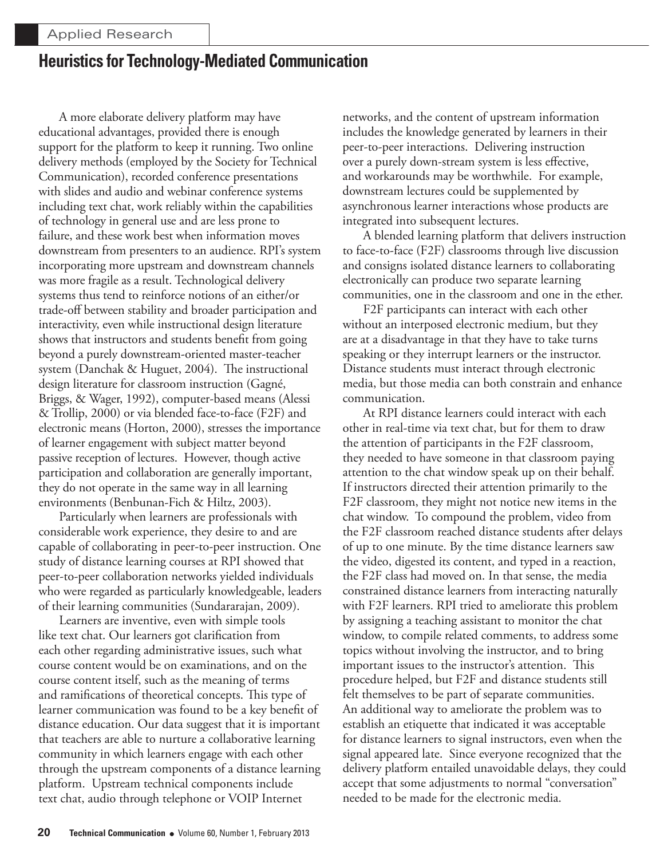A more elaborate delivery platform may have educational advantages, provided there is enough support for the platform to keep it running. Two online delivery methods (employed by the Society for Technical Communication), recorded conference presentations with slides and audio and webinar conference systems including text chat, work reliably within the capabilities of technology in general use and are less prone to failure, and these work best when information moves downstream from presenters to an audience. RPI's system incorporating more upstream and downstream channels was more fragile as a result. Technological delivery systems thus tend to reinforce notions of an either/or trade-off between stability and broader participation and interactivity, even while instructional design literature shows that instructors and students benefit from going beyond a purely downstream-oriented master-teacher system (Danchak & Huguet, 2004). The instructional design literature for classroom instruction (Gagné, Briggs, & Wager, 1992), computer-based means (Alessi & Trollip, 2000) or via blended face-to-face (F2F) and electronic means (Horton, 2000), stresses the importance of learner engagement with subject matter beyond passive reception of lectures. However, though active participation and collaboration are generally important, they do not operate in the same way in all learning environments (Benbunan-Fich & Hiltz, 2003).

Particularly when learners are professionals with considerable work experience, they desire to and are capable of collaborating in peer-to-peer instruction. One study of distance learning courses at RPI showed that peer-to-peer collaboration networks yielded individuals who were regarded as particularly knowledgeable, leaders of their learning communities (Sundararajan, 2009).

Learners are inventive, even with simple tools like text chat. Our learners got clarification from each other regarding administrative issues, such what course content would be on examinations, and on the course content itself, such as the meaning of terms and ramifications of theoretical concepts. This type of learner communication was found to be a key benefit of distance education. Our data suggest that it is important that teachers are able to nurture a collaborative learning community in which learners engage with each other through the upstream components of a distance learning platform. Upstream technical components include text chat, audio through telephone or VOIP Internet

networks, and the content of upstream information includes the knowledge generated by learners in their peer-to-peer interactions. Delivering instruction over a purely down-stream system is less effective, and workarounds may be worthwhile. For example, downstream lectures could be supplemented by asynchronous learner interactions whose products are integrated into subsequent lectures.

A blended learning platform that delivers instruction to face-to-face (F2F) classrooms through live discussion and consigns isolated distance learners to collaborating electronically can produce two separate learning communities, one in the classroom and one in the ether.

F2F participants can interact with each other without an interposed electronic medium, but they are at a disadvantage in that they have to take turns speaking or they interrupt learners or the instructor. Distance students must interact through electronic media, but those media can both constrain and enhance communication.

At RPI distance learners could interact with each other in real-time via text chat, but for them to draw the attention of participants in the F2F classroom, they needed to have someone in that classroom paying attention to the chat window speak up on their behalf. If instructors directed their attention primarily to the F2F classroom, they might not notice new items in the chat window. To compound the problem, video from the F2F classroom reached distance students after delays of up to one minute. By the time distance learners saw the video, digested its content, and typed in a reaction, the F2F class had moved on. In that sense, the media constrained distance learners from interacting naturally with F2F learners. RPI tried to ameliorate this problem by assigning a teaching assistant to monitor the chat window, to compile related comments, to address some topics without involving the instructor, and to bring important issues to the instructor's attention. This procedure helped, but F2F and distance students still felt themselves to be part of separate communities. An additional way to ameliorate the problem was to establish an etiquette that indicated it was acceptable for distance learners to signal instructors, even when the signal appeared late. Since everyone recognized that the delivery platform entailed unavoidable delays, they could accept that some adjustments to normal "conversation" needed to be made for the electronic media.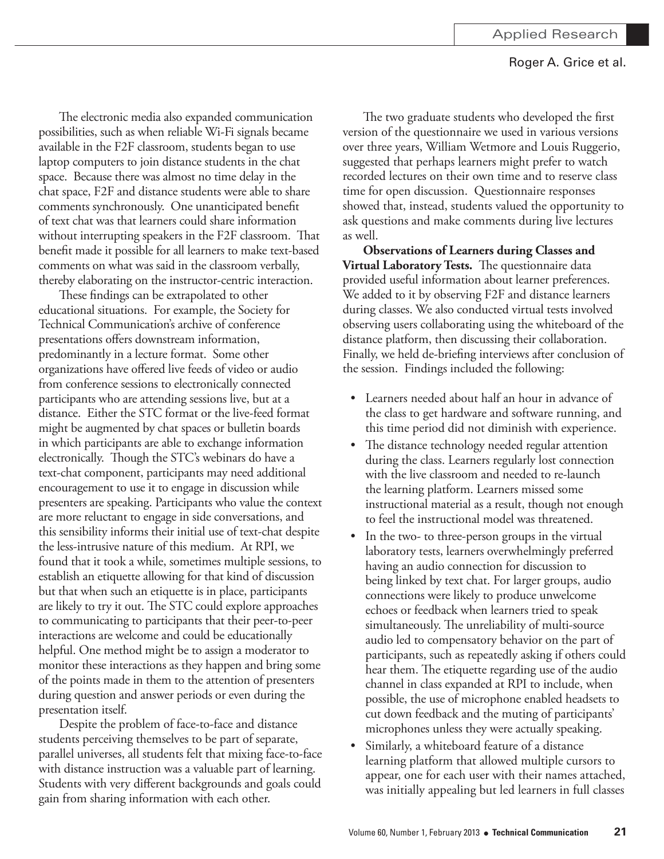The electronic media also expanded communication possibilities, such as when reliable Wi-Fi signals became available in the F2F classroom, students began to use laptop computers to join distance students in the chat space. Because there was almost no time delay in the chat space, F2F and distance students were able to share comments synchronously. One unanticipated benefit of text chat was that learners could share information without interrupting speakers in the F2F classroom. That benefit made it possible for all learners to make text-based comments on what was said in the classroom verbally, thereby elaborating on the instructor-centric interaction.

These findings can be extrapolated to other educational situations. For example, the Society for Technical Communication's archive of conference presentations offers downstream information, predominantly in a lecture format. Some other organizations have offered live feeds of video or audio from conference sessions to electronically connected participants who are attending sessions live, but at a distance. Either the STC format or the live-feed format might be augmented by chat spaces or bulletin boards in which participants are able to exchange information electronically. Though the STC's webinars do have a text-chat component, participants may need additional encouragement to use it to engage in discussion while presenters are speaking. Participants who value the context are more reluctant to engage in side conversations, and this sensibility informs their initial use of text-chat despite the less-intrusive nature of this medium. At RPI, we found that it took a while, sometimes multiple sessions, to establish an etiquette allowing for that kind of discussion but that when such an etiquette is in place, participants are likely to try it out. The STC could explore approaches to communicating to participants that their peer-to-peer interactions are welcome and could be educationally helpful. One method might be to assign a moderator to monitor these interactions as they happen and bring some of the points made in them to the attention of presenters during question and answer periods or even during the presentation itself.

Despite the problem of face-to-face and distance students perceiving themselves to be part of separate, parallel universes, all students felt that mixing face-to-face with distance instruction was a valuable part of learning. Students with very different backgrounds and goals could gain from sharing information with each other.

The two graduate students who developed the first version of the questionnaire we used in various versions over three years, William Wetmore and Louis Ruggerio, suggested that perhaps learners might prefer to watch recorded lectures on their own time and to reserve class time for open discussion. Questionnaire responses showed that, instead, students valued the opportunity to ask questions and make comments during live lectures as well.

**Observations of Learners during Classes and** Virtual Laboratory Tests. The questionnaire data provided useful information about learner preferences. We added to it by observing F2F and distance learners during classes. We also conducted virtual tests involved observing users collaborating using the whiteboard of the distance platform, then discussing their collaboration. Finally, we held de-briefing interviews after conclusion of the session. Findings included the following:

- Learners needed about half an hour in advance of the class to get hardware and software running, and this time period did not diminish with experience.
- The distance technology needed regular attention during the class. Learners regularly lost connection with the live classroom and needed to re-launch the learning platform. Learners missed some instructional material as a result, though not enough to feel the instructional model was threatened.
- In the two- to three-person groups in the virtual laboratory tests, learners overwhelmingly preferred having an audio connection for discussion to being linked by text chat. For larger groups, audio connections were likely to produce unwelcome echoes or feedback when learners tried to speak simultaneously. The unreliability of multi-source audio led to compensatory behavior on the part of participants, such as repeatedly asking if others could hear them. The etiquette regarding use of the audio channel in class expanded at RPI to include, when possible, the use of microphone enabled headsets to cut down feedback and the muting of participants' microphones unless they were actually speaking.
- Similarly, a whiteboard feature of a distance learning platform that allowed multiple cursors to appear, one for each user with their names attached, was initially appealing but led learners in full classes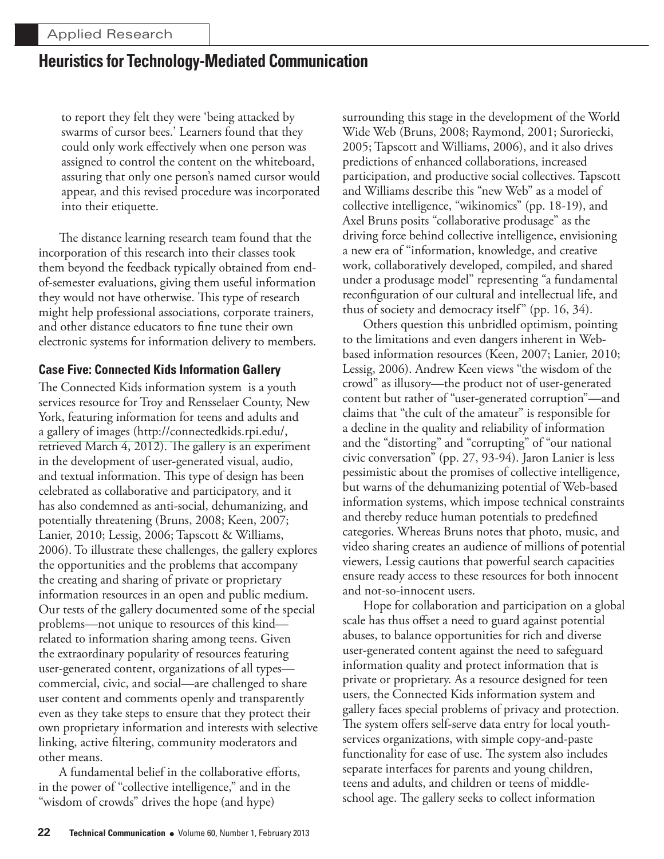to report they felt they were 'being attacked by swarms of cursor bees.' Learners found that they could only work effectively when one person was assigned to control the content on the whiteboard, assuring that only one person's named cursor would appear, and this revised procedure was incorporated into their etiquette.

The distance learning research team found that the incorporation of this research into their classes took them beyond the feedback typically obtained from endof-semester evaluations, giving them useful information they would not have otherwise. This type of research might help professional associations, corporate trainers, and other distance educators to fine tune their own electronic systems for information delivery to members.

### **Case Five: Connected Kids Information Gallery**

The Connected Kids information system is a youth services resource for Troy and Rensselaer County, New York, featuring information for teens and adults and a gallery of images (http://connectedkids.rpi.edu/, retrieved March 4, 2012). The gallery is an experiment in the development of user-generated visual, audio, and textual information. This type of design has been celebrated as collaborative and participatory, and it has also condemned as anti-social, dehumanizing, and potentially threatening (Bruns, 2008; Keen, 2007; Lanier, 2010; Lessig, 2006; Tapscott & Williams, 2006). To illustrate these challenges, the gallery explores the opportunities and the problems that accompany the creating and sharing of private or proprietary information resources in an open and public medium. Our tests of the gallery documented some of the special problems—not unique to resources of this kind related to information sharing among teens. Given the extraordinary popularity of resources featuring user-generated content, organizations of all types commercial, civic, and social—are challenged to share user content and comments openly and transparently even as they take steps to ensure that they protect their own proprietary information and interests with selective linking, active filtering, community moderators and other means.

A fundamental belief in the collaborative efforts, in the power of "collective intelligence," and in the "wisdom of crowds" drives the hope (and hype)

surrounding this stage in the development of the World Wide Web (Bruns, 2008; Raymond, 2001; Suroriecki, 2005; Tapscott and Williams, 2006), and it also drives predictions of enhanced collaborations, increased participation, and productive social collectives. Tapscott and Williams describe this "new Web" as a model of collective intelligence, "wikinomics" (pp. 18-19), and Axel Bruns posits "collaborative produsage" as the driving force behind collective intelligence, envisioning a new era of "information, knowledge, and creative work, collaboratively developed, compiled, and shared under a produsage model" representing "a fundamental reconfiguration of our cultural and intellectual life, and thus of society and democracy itself" (pp. 16, 34).

Others question this unbridled optimism, pointing to the limitations and even dangers inherent in Webbased information resources (Keen, 2007; Lanier, 2010; Lessig, 2006). Andrew Keen views "the wisdom of the crowd" as illusory—the product not of user-generated content but rather of "user-generated corruption"—and claims that "the cult of the amateur" is responsible for a decline in the quality and reliability of information and the "distorting" and "corrupting" of "our national civic conversation" (pp. 27, 93-94). Jaron Lanier is less pessimistic about the promises of collective intelligence, but warns of the dehumanizing potential of Web-based information systems, which impose technical constraints and thereby reduce human potentials to predefined categories. Whereas Bruns notes that photo, music, and video sharing creates an audience of millions of potential viewers, Lessig cautions that powerful search capacities ensure ready access to these resources for both innocent and not-so-innocent users.

Hope for collaboration and participation on a global scale has thus offset a need to guard against potential abuses, to balance opportunities for rich and diverse user-generated content against the need to safeguard information quality and protect information that is private or proprietary. As a resource designed for teen users, the Connected Kids information system and gallery faces special problems of privacy and protection. The system offers self-serve data entry for local youthservices organizations, with simple copy-and-paste functionality for ease of use. The system also includes separate interfaces for parents and young children, teens and adults, and children or teens of middleschool age. The gallery seeks to collect information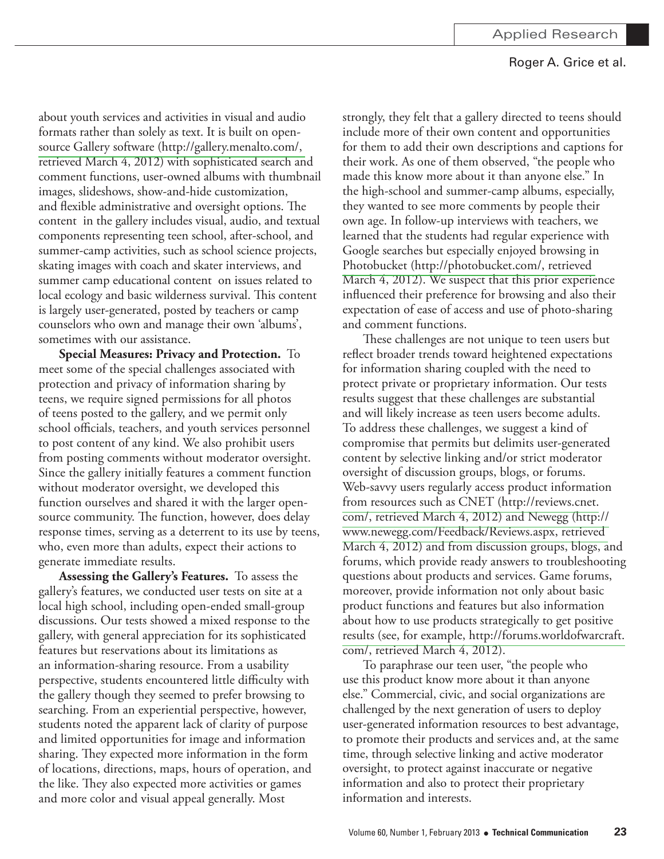about youth services and activities in visual and audio formats rather than solely as text. It is built on opensource Gallery software (http://gallery.menalto.com/, retrieved March 4, 2012) with sophisticated search and comment functions, user-owned albums with thumbnail images, slideshows, show-and-hide customization, and flexible administrative and oversight options. The content in the gallery includes visual, audio, and textual components representing teen school, after-school, and summer-camp activities, such as school science projects, skating images with coach and skater interviews, and summer camp educational content on issues related to local ecology and basic wilderness survival. This content is largely user-generated, posted by teachers or camp counselors who own and manage their own 'albums', sometimes with our assistance.

Special Measures: Privacy and Protection. To meet some of the special challenges associated with protection and privacy of information sharing by teens, we require signed permissions for all photos of teens posted to the gallery, and we permit only school officials, teachers, and youth services personnel to post content of any kind. We also prohibit users from posting comments without moderator oversight. Since the gallery initially features a comment function without moderator oversight, we developed this function ourselves and shared it with the larger opensource community. The function, however, does delay response times, serving as a deterrent to its use by teens, who, even more than adults, expect their actions to generate immediate results.

Assessing the Gallery's Features. To assess the gallery's features, we conducted user tests on site at a local high school, including open-ended small-group discussions. Our tests showed a mixed response to the gallery, with general appreciation for its sophisticated features but reservations about its limitations as an information-sharing resource. From a usability perspective, students encountered little difficulty with the gallery though they seemed to prefer browsing to searching. From an experiential perspective, however, students noted the apparent lack of clarity of purpose and limited opportunities for image and information sharing. They expected more information in the form of locations, directions, maps, hours of operation, and the like. They also expected more activities or games and more color and visual appeal generally. Most

strongly, they felt that a gallery directed to teens should include more of their own content and opportunities for them to add their own descriptions and captions for their work. As one of them observed, "the people who made this know more about it than anyone else." In the high-school and summer-camp albums, especially, they wanted to see more comments by people their own age. In follow-up interviews with teachers, we learned that the students had regular experience with Google searches but especially enjoyed browsing in Photobucket (http://photobucket.com/, retrieved March 4, 2012). We suspect that this prior experience influenced their preference for browsing and also their expectation of ease of access and use of photo-sharing and comment functions.

These challenges are not unique to teen users but reflect broader trends toward heightened expectations for information sharing coupled with the need to protect private or proprietary information. Our tests results suggest that these challenges are substantial and will likely increase as teen users become adults. To address these challenges, we suggest a kind of compromise that permits but delimits user-generated content by selective linking and/or strict moderator oversight of discussion groups, blogs, or forums. Web-savvy users regularly access product information from resources such as CNET (http://reviews.cnet. com/, retrieved March 4, 2012) and Newegg (http:// www.newegg.com/Feedback/Reviews.aspx, retrieved March 4, 2012) and from discussion groups, blogs, and forums, which provide ready answers to troubleshooting questions about products and services. Game forums, moreover, provide information not only about basic product functions and features but also information about how to use products strategically to get positive results (see, for example, http://forums.worldofwarcraft. com/, retrieved March 4, 2012).

To paraphrase our teen user, "the people who use this product know more about it than anyone else." Commercial, civic, and social organizations are challenged by the next generation of users to deploy user-generated information resources to best advantage, to promote their products and services and, at the same time, through selective linking and active moderator oversight, to protect against inaccurate or negative information and also to protect their proprietary information and interests.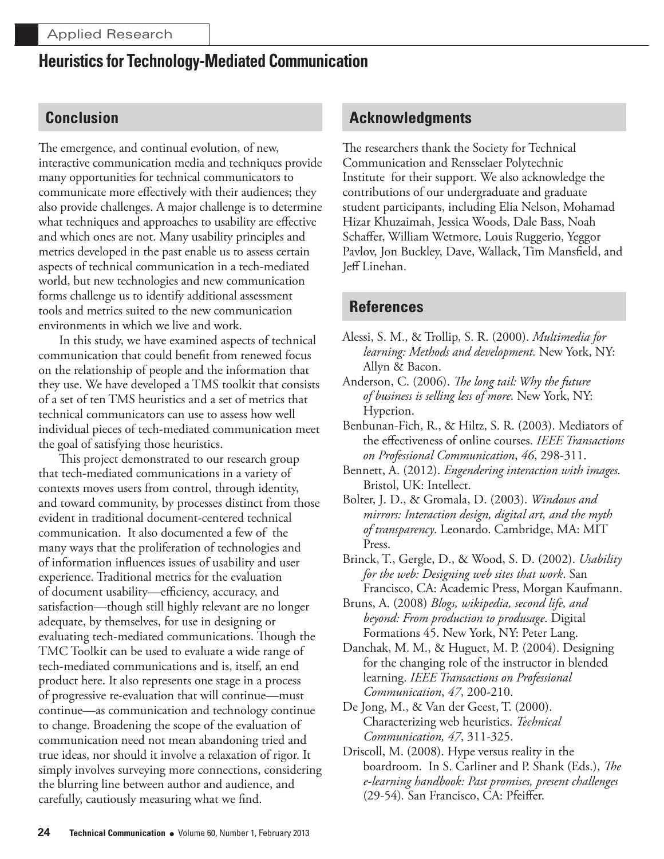### **Conclusion**

The emergence, and continual evolution, of new, interactive communication media and techniques provide many opportunities for technical communicators to communicate more effectively with their audiences; they also provide challenges. A major challenge is to determine what techniques and approaches to usability are effective and which ones are not. Many usability principles and metrics developed in the past enable us to assess certain aspects of technical communication in a tech-mediated world, but new technologies and new communication forms challenge us to identify additional assessment tools and metrics suited to the new communication environments in which we live and work.

In this study, we have examined aspects of technical communication that could benefit from renewed focus on the relationship of people and the information that they use. We have developed a TMS toolkit that consists of a set of ten TMS heuristics and a set of metrics that technical communicators can use to assess how well individual pieces of tech-mediated communication meet the goal of satisfying those heuristics.

This project demonstrated to our research group that tech-mediated communications in a variety of contexts moves users from control, through identity, and toward community, by processes distinct from those evident in traditional document-centered technical communication. It also documented a few of the many ways that the proliferation of technologies and of information influences issues of usability and user experience. Traditional metrics for the evaluation of document usability—efficiency, accuracy, and satisfaction—though still highly relevant are no longer adequate, by themselves, for use in designing or evaluating tech-mediated communications. Though the TMC Toolkit can be used to evaluate a wide range of tech-mediated communications and is, itself, an end product here. It also represents one stage in a process of progressive re-evaluation that will continue—must continue—as communication and technology continue to change. Broadening the scope of the evaluation of communication need not mean abandoning tried and true ideas, nor should it involve a relaxation of rigor. It simply involves surveying more connections, considering the blurring line between author and audience, and carefully, cautiously measuring what we find.

### **Acknowledgments**

The researchers thank the Society for Technical Communication and Rensselaer Polytechnic Institute for their support. We also acknowledge the contributions of our undergraduate and graduate student participants, including Elia Nelson, Mohamad Hizar Khuzaimah, Jessica Woods, Dale Bass, Noah Schaffer, William Wetmore, Louis Ruggerio, Yeggor Pavlov, Jon Buckley, Dave, Wallack, Tim Mansfield, and Jeff Linehan.

### **References**

- Alessi, S. M., & Trollip, S. R. (2000). Multimedia for learning: Methods and development. New York, NY: Allyn & Bacon.
- Anderson, C. (2006). The long tail: Why the future of business is selling less of more. New York, NY: Hyperion.
- Benbunan-Fich, R., & Hiltz, S. R. (2003). Mediators of the effectiveness of online courses. IEEE Transactions on Professional Communication, 46, 298-311.
- Bennett, A. (2012). Engendering interaction with images. Bristol, UK: Intellect.
- Bolter, J. D., & Gromala, D. (2003). Windows and mirrors: Interaction design, digital art, and the myth of transparency. Leonardo. Cambridge, MA: MIT Press.
- Brinck, T., Gergle, D., & Wood, S. D. (2002). Usability for the web: Designing web sites that work. San Francisco, CA: Academic Press, Morgan Kaufmann.
- Bruns, A. (2008) Blogs, wikipedia, second life, and *beyond: From production to produsage.* Digital Formations 45. New York, NY: Peter Lang.
- Danchak, M. M., & Huguet, M. P. (2004). Designing for the changing role of the instructor in blended learning. IEEE Transactions on Professional Communication, 47, 200-210.
- De Jong, M., & Van der Geest, T. (2000). Characterizing web heuristics. Technical *Communication*, 47, 311-325.
- Driscoll, M. (2008). Hype versus reality in the boardroom. In S. Carliner and P. Shank (Eds.), The e-learning handbook: Past promises, present challenges (29-54). San Francisco, CA: Pfeiffer.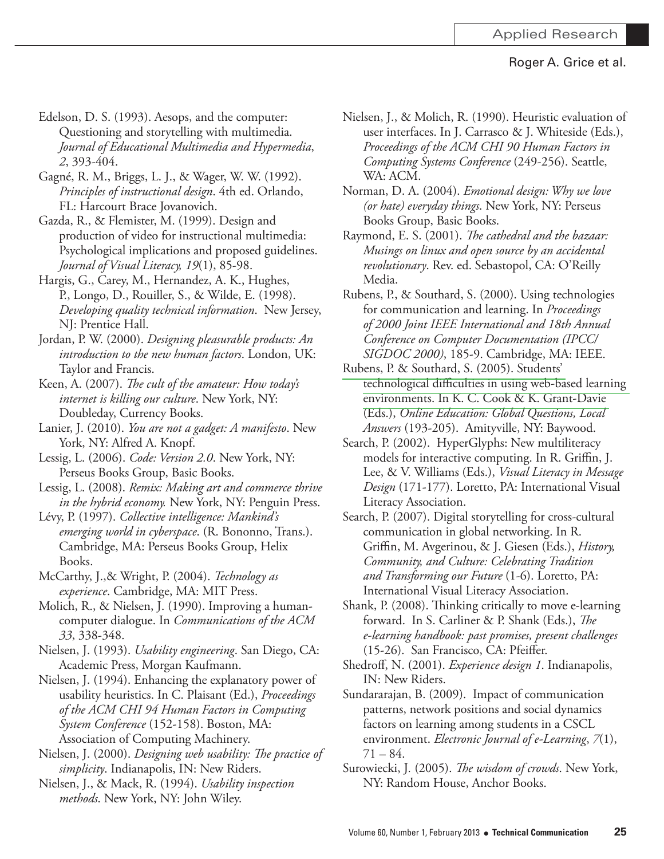- Edelson, D. S. (1993). Aesops, and the computer: Questioning and storytelling with multimedia. *Journal of Educational Multimedia and Hypermedia 2*
- Gagné, R. M., Briggs, L. J., & Wager, W. W. (1992). *Principles of instructional design*. 4th ed. Orlando, FL: Harcourt Brace Jovanovich.
- Gazda, R., & Flemister, M. (1999). Design and production of video for instructional multimedia: Psychological implications and proposed guidelines. *Journal of Visual Literacy, 19*
- Hargis, G., Carey, M., Hernandez, A. K., Hughes, P., Longo, D., Rouiller, S., & Wilde, E. (1998). *Developing quality technical information.* New Jersey, NJ: Prentice Hall.
- Jordan, P. W. (2000). *Designing pleasurable products: An* introduction to the new human factors. London, UK: Taylor and Francis.
- Keen, A. (2007). The cult of the amateur: How today's *internet is killing our culture*. New York, NY: Doubleday, Currency Books.
- Lanier, J. (2010). You are not a gadget: A manifesto. New York, NY: Alfred A. Knopf.
- Lessig, L. (2006). Code: Version 2.0. New York, NY: Perseus Books Group, Basic Books.
- Lessig, L. (2008). *Remix: Making art and commerce thrive* in the hybrid economy. New York, NY: Penguin Press.
- Lévy, P. (1997). Collective intelligence: Mankind's emerging world in cyberspace. (R. Bononno, Trans.). Cambridge, MA: Perseus Books Group, Helix Books.
- McCarthy, J.,& Wright, P. (2004). Technology as *experience*. Cambridge, MA: MIT Press.
- Molich, R., & Nielsen, J. (1990). Improving a humancomputer dialogue. In *Communications of the ACM 33*
- Nielsen, J. (1993). Usability engineering. San Diego, CA: Academic Press, Morgan Kaufmann.
- Nielsen, J. (1994). Enhancing the explanatory power of usability heuristics. In C. Plaisant (Ed.), Proceedings *of the ACM CHI 94 Human Factors in Computing*  System Conference (152-158). Boston, MA: Association of Computing Machinery.
- Nielsen, J. (2000). *Designing web usability: The practice of* simplicity. Indianapolis, IN: New Riders.
- Nielsen, J., & Mack, R. (1994). Usability inspection methods. New York, NY: John Wiley.
- Nielsen, J., & Molich, R. (1990). Heuristic evaluation of user interfaces. In J. Carrasco & J. Whiteside (Eds.), *Proceedings of the ACM CHI 90 Human Factors in*  Computing Systems Conference (249-256). Seattle, WA: ACM.
- Norman, D. A. (2004). *Emotional design: Why we love (or hate) everyday things*. New York, NY: Perseus Books Group, Basic Books.
- Raymond, E. S. (2001). *The cathedral and the bazaar: Musings on linux and open source by an accidental revolutionary*. Rev. ed. Sebastopol, CA: O'Reilly Media.
- Rubens, P., & Southard, S. (2000). Using technologies for communication and learning. In Proceedings *of 2000 Joint IEEE International and 18th Annual Conference on Computer Documentation (IPCC/ SIGDOC 2000*), 185-9. Cambridge, MA: IEEE.
- Rubens, P. & Southard, S. (2005). Students' technological difficulties in using web-based learning environments. In K. C. Cook & K. Grant-Davie &ET *Online Education: Global Questions, Local*  Answers (193-205). Amityville, NY: Baywood.
- Search, P. (2002). HyperGlyphs: New multiliteracy models for interactive computing. In R. Griffin, J. Lee, & V. Williams (Eds.), *Visual Literacy in Message* Design (171-177). Loretto, PA: International Visual Literacy Association.
- Search, P. (2007). Digital storytelling for cross-cultural communication in global networking. In R. Griffin, M. Avgerinou, & J. Giesen (Eds.), *History, Community, and Culture: Celebrating Tradition*  and Transforming our Future (1-6). Loretto, PA: International Visual Literacy Association.
- Shank, P. (2008). Thinking critically to move e-learning forward. In S. Carliner & P. Shank (Eds.), *The e-learning handbook: past promises, present challenges* (15-26). San Francisco, CA: Pfeiffer.
- Shedroff, N. (2001). Experience design 1. Indianapolis, IN: New Riders.
- Sundararajan, B. (2009). Impact of communication patterns, network positions and social dynamics factors on learning among students in a CSCL environment. *Electronic Journal of e-Learning*, 7(1),  $71 - 84.$
- Surowiecki, J. (2005). *The wisdom of crowds*. New York, NY: Random House, Anchor Books.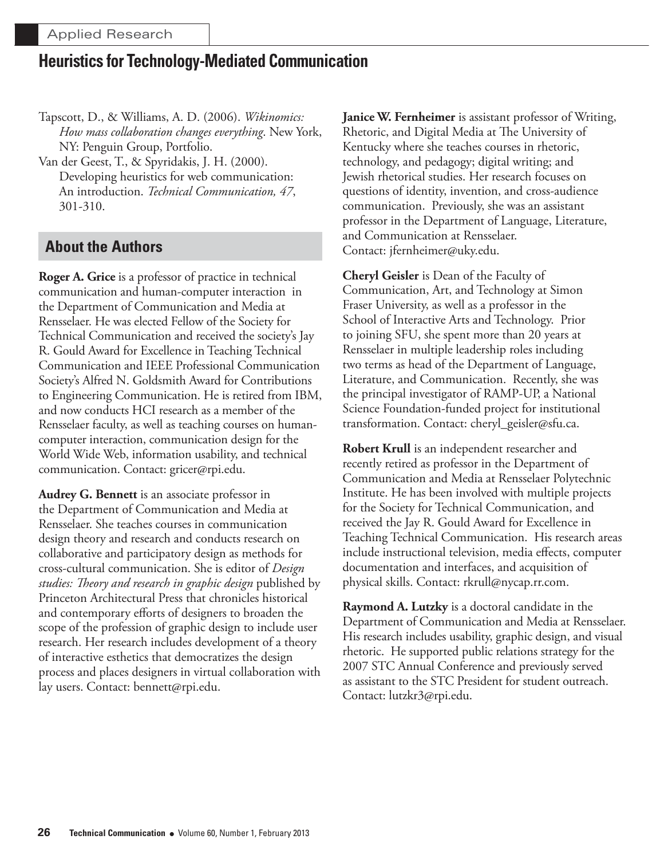Tapscott, D., & Williams, A. D. (2006). Wikinomics: *How mass collaboration changes everything*. New York, NY: Penguin Group, Portfolio.

Van der Geest, T., & Spyridakis, J. H. (2000). Developing heuristics for web communication: An introduction. Technical Communication, 47, 301-310.

### **About the Authors**

**Roger A. Grice** is a professor of practice in technical communication and human-computer interaction in the Department of Communication and Media at Rensselaer. He was elected Fellow of the Society for Technical Communication and received the society's Jay R. Gould Award for Excellence in Teaching Technical Communication and IEEE Professional Communication Society's Alfred N. Goldsmith Award for Contributions to Engineering Communication. He is retired from IBM, and now conducts HCI research as a member of the Rensselaer faculty, as well as teaching courses on humancomputer interaction, communication design for the World Wide Web, information usability, and technical communication. Contact: gricer@rpi.edu.

Audrey G. Bennett is an associate professor in the Department of Communication and Media at Rensselaer. She teaches courses in communication design theory and research and conducts research on collaborative and participatory design as methods for cross-cultural communication. She is editor of *Design studies: Theory and research in graphic design* published by Princeton Architectural Press that chronicles historical and contemporary efforts of designers to broaden the scope of the profession of graphic design to include user research. Her research includes development of a theory of interactive esthetics that democratizes the design process and places designers in virtual collaboration with lay users. Contact: bennett@rpi.edu.

**Janice W. Fernheimer** is assistant professor of Writing, Rhetoric, and Digital Media at The University of Kentucky where she teaches courses in rhetoric, technology, and pedagogy; digital writing; and Jewish rhetorical studies. Her research focuses on questions of identity, invention, and cross-audience communication. Previously, she was an assistant professor in the Department of Language, Literature, and Communication at Rensselaer. Contact: jfernheimer@uky.edu.

**Cheryl Geisler** is Dean of the Faculty of Communication, Art, and Technology at Simon Fraser University, as well as a professor in the School of Interactive Arts and Technology. Prior to joining SFU, she spent more than 20 years at Rensselaer in multiple leadership roles including two terms as head of the Department of Language, Literature, and Communication. Recently, she was the principal investigator of RAMP-UP, a National Science Foundation-funded project for institutional transformation. Contact: cheryl\_geisler@sfu.ca.

**Robert Krull** is an independent researcher and recently retired as professor in the Department of Communication and Media at Rensselaer Polytechnic Institute. He has been involved with multiple projects for the Society for Technical Communication, and received the Jay R. Gould Award for Excellence in Teaching Technical Communication. His research areas include instructional television, media effects, computer documentation and interfaces, and acquisition of physical skills. Contact: rkrull@nycap.rr.com.

**Raymond A. Lutzky** is a doctoral candidate in the Department of Communication and Media at Rensselaer. His research includes usability, graphic design, and visual rhetoric. He supported public relations strategy for the 2007 STC Annual Conference and previously served as assistant to the STC President for student outreach. Contact: lutzkr3@rpi.edu.